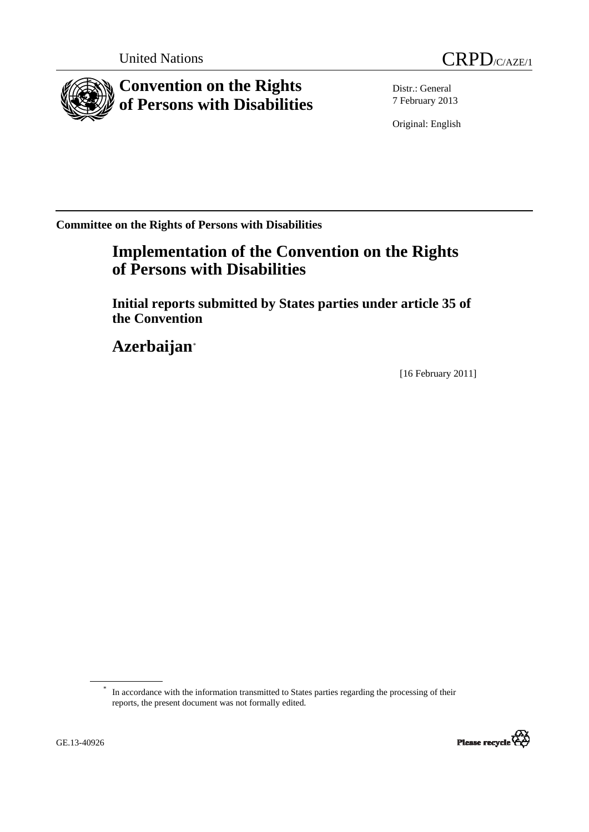



**Convention on the Rights of Persons with Disabilities** 

Distr.: General 7 February 2013

Original: English

**Committee on the Rights of Persons with Disabilities** 

# **Implementation of the Convention on the Rights of Persons with Disabilities**

 **Initial reports submitted by States parties under article 35 of the Convention** 

 **Azerbaijan**[\\*](#page-0-0)

[16 February 2011]

<span id="page-0-0"></span>In accordance with the information transmitted to States parties regarding the processing of their reports, the present document was not formally edited.

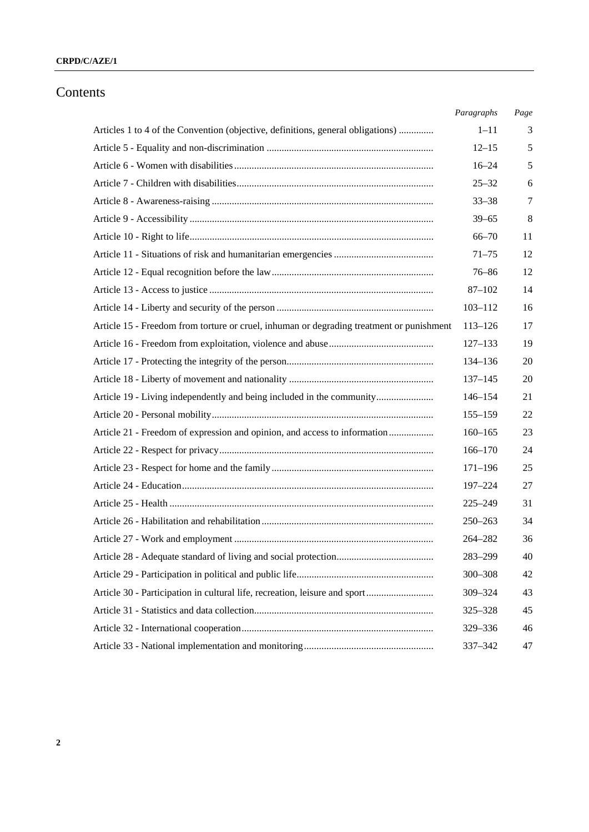#### **CRPD/C/AZE/1**

# Contents

|                                                                                          | Paragraphs  | Page |
|------------------------------------------------------------------------------------------|-------------|------|
| Articles 1 to 4 of the Convention (objective, definitions, general obligations)          | $1 - 11$    | 3    |
|                                                                                          | $12 - 15$   | 5    |
|                                                                                          | $16 - 24$   | 5    |
|                                                                                          | $25 - 32$   | 6    |
|                                                                                          | $33 - 38$   | 7    |
|                                                                                          | $39 - 65$   | 8    |
|                                                                                          | $66 - 70$   | 11   |
|                                                                                          | $71 - 75$   | 12   |
|                                                                                          | $76 - 86$   | 12   |
|                                                                                          | $87 - 102$  | 14   |
|                                                                                          | $103 - 112$ | 16   |
| Article 15 - Freedom from torture or cruel, inhuman or degrading treatment or punishment | $113 - 126$ | 17   |
|                                                                                          | $127 - 133$ | 19   |
|                                                                                          | 134-136     | 20   |
|                                                                                          | $137 - 145$ | 20   |
| Article 19 - Living independently and being included in the community                    | $146 - 154$ | 21   |
|                                                                                          | $155 - 159$ | 22   |
| Article 21 - Freedom of expression and opinion, and access to information                | $160 - 165$ | 23   |
|                                                                                          | $166 - 170$ | 24   |
|                                                                                          | $171 - 196$ | 25   |
|                                                                                          | 197-224     | 27   |
|                                                                                          | $225 - 249$ | 31   |
|                                                                                          | $250 - 263$ | 34   |
|                                                                                          | 264-282     | 36   |
|                                                                                          | 283-299     | 40   |
|                                                                                          | 300-308     | 42   |
| Article 30 - Participation in cultural life, recreation, leisure and sport               | 309-324     | 43   |
|                                                                                          | 325-328     | 45   |
|                                                                                          | 329-336     | 46   |
|                                                                                          | 337-342     | 47   |
|                                                                                          |             |      |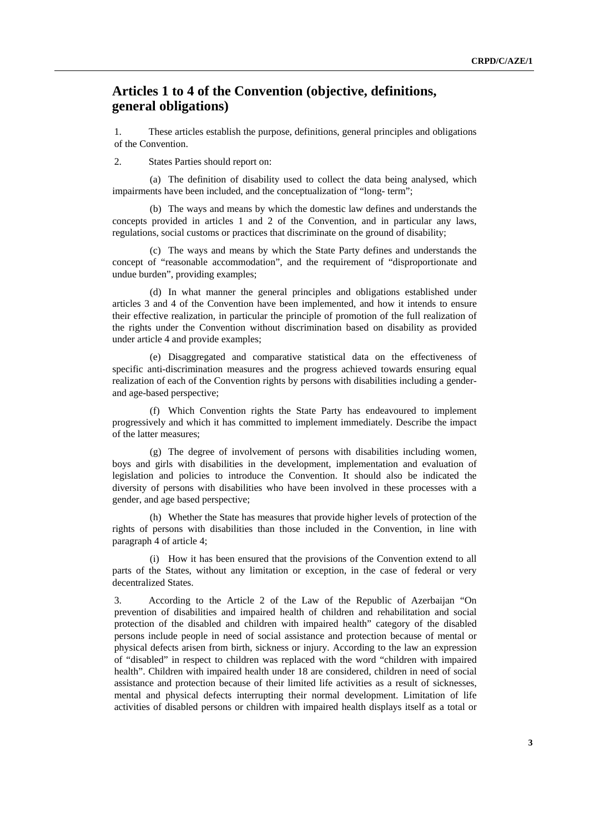# <span id="page-2-0"></span> **Articles 1 to 4 of the Convention (objective, definitions, general obligations)**

1. These articles establish the purpose, definitions, general principles and obligations of the Convention.

2. States Parties should report on:

(a) The definition of disability used to collect the data being analysed, which impairments have been included, and the conceptualization of "long- term";

(b) The ways and means by which the domestic law defines and understands the concepts provided in articles 1 and 2 of the Convention, and in particular any laws, regulations, social customs or practices that discriminate on the ground of disability;

(c) The ways and means by which the State Party defines and understands the concept of "reasonable accommodation", and the requirement of "disproportionate and undue burden", providing examples;

(d) In what manner the general principles and obligations established under articles 3 and 4 of the Convention have been implemented, and how it intends to ensure their effective realization, in particular the principle of promotion of the full realization of the rights under the Convention without discrimination based on disability as provided under article 4 and provide examples;

(e) Disaggregated and comparative statistical data on the effectiveness of specific anti-discrimination measures and the progress achieved towards ensuring equal realization of each of the Convention rights by persons with disabilities including a genderand age-based perspective;

(f) Which Convention rights the State Party has endeavoured to implement progressively and which it has committed to implement immediately. Describe the impact of the latter measures;

(g) The degree of involvement of persons with disabilities including women, boys and girls with disabilities in the development, implementation and evaluation of legislation and policies to introduce the Convention. It should also be indicated the diversity of persons with disabilities who have been involved in these processes with a gender, and age based perspective;

(h) Whether the State has measures that provide higher levels of protection of the rights of persons with disabilities than those included in the Convention, in line with paragraph 4 of article 4;

(i) How it has been ensured that the provisions of the Convention extend to all parts of the States, without any limitation or exception, in the case of federal or very decentralized States.

3. According to the Article 2 of the Law of the Republic of Azerbaijan "On prevention of disabilities and impaired health of children and rehabilitation and social protection of the disabled and children with impaired health" category of the disabled persons include people in need of social assistance and protection because of mental or physical defects arisen from birth, sickness or injury. According to the law an expression of "disabled" in respect to children was replaced with the word "children with impaired health". Children with impaired health under 18 are considered, children in need of social assistance and protection because of their limited life activities as a result of sicknesses, mental and physical defects interrupting their normal development. Limitation of life activities of disabled persons or children with impaired health displays itself as a total or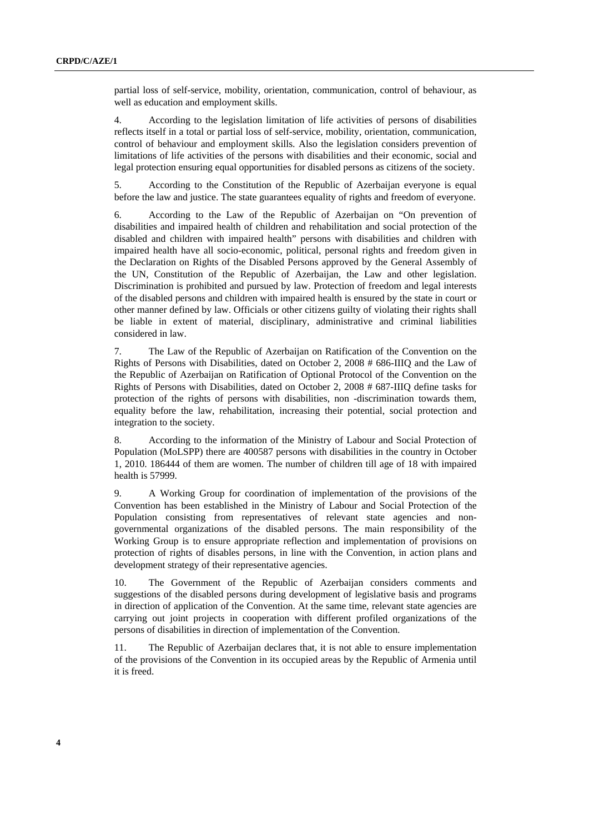partial loss of self-service, mobility, orientation, communication, control of behaviour, as well as education and employment skills.

4. According to the legislation limitation of life activities of persons of disabilities reflects itself in a total or partial loss of self-service, mobility, orientation, communication, control of behaviour and employment skills. Also the legislation considers prevention of limitations of life activities of the persons with disabilities and their economic, social and legal protection ensuring equal opportunities for disabled persons as citizens of the society.

5. According to the Constitution of the Republic of Azerbaijan everyone is equal before the law and justice. The state guarantees equality of rights and freedom of everyone.

6. According to the Law of the Republic of Azerbaijan on "On prevention of disabilities and impaired health of children and rehabilitation and social protection of the disabled and children with impaired health" persons with disabilities and children with impaired health have all socio-economic, political, personal rights and freedom given in the Declaration on Rights of the Disabled Persons approved by the General Assembly of the UN, Constitution of the Republic of Azerbaijan, the Law and other legislation. Discrimination is prohibited and pursued by law. Protection of freedom and legal interests of the disabled persons and children with impaired health is ensured by the state in court or other manner defined by law. Officials or other citizens guilty of violating their rights shall be liable in extent of material, disciplinary, administrative and criminal liabilities considered in law.

7. The Law of the Republic of Azerbaijan on Ratification of the Convention on the Rights of Persons with Disabilities, dated on October 2, 2008 # 686-IIIQ and the Law of the Republic of Azerbaijan on Ratification of Optional Protocol of the Convention on the Rights of Persons with Disabilities, dated on October 2, 2008 # 687-IIIQ define tasks for protection of the rights of persons with disabilities, non -discrimination towards them, equality before the law, rehabilitation, increasing their potential, social protection and integration to the society.

8. According to the information of the Ministry of Labour and Social Protection of Population (MoLSPP) there are 400587 persons with disabilities in the country in October 1, 2010. 186444 of them are women. The number of children till age of 18 with impaired health is 57999.

9. A Working Group for coordination of implementation of the provisions of the Convention has been established in the Ministry of Labour and Social Protection of the Population consisting from representatives of relevant state agencies and nongovernmental organizations of the disabled persons. The main responsibility of the Working Group is to ensure appropriate reflection and implementation of provisions on protection of rights of disables persons, in line with the Convention, in action plans and development strategy of their representative agencies.

10. The Government of the Republic of Azerbaijan considers comments and suggestions of the disabled persons during development of legislative basis and programs in direction of application of the Convention. At the same time, relevant state agencies are carrying out joint projects in cooperation with different profiled organizations of the persons of disabilities in direction of implementation of the Convention.

11. The Republic of Azerbaijan declares that, it is not able to ensure implementation of the provisions of the Convention in its occupied areas by the Republic of Armenia until it is freed.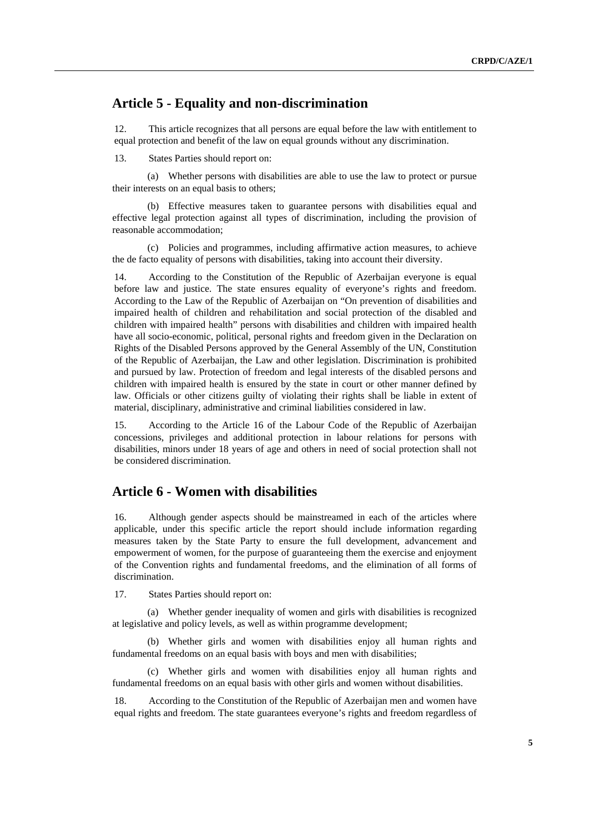# <span id="page-4-0"></span> **Article 5 - Equality and non-discrimination**

12. This article recognizes that all persons are equal before the law with entitlement to equal protection and benefit of the law on equal grounds without any discrimination.

13. States Parties should report on:

(a) Whether persons with disabilities are able to use the law to protect or pursue their interests on an equal basis to others;

(b) Effective measures taken to guarantee persons with disabilities equal and effective legal protection against all types of discrimination, including the provision of reasonable accommodation;

(c) Policies and programmes, including affirmative action measures, to achieve the de facto equality of persons with disabilities, taking into account their diversity.

14. According to the Constitution of the Republic of Azerbaijan everyone is equal before law and justice. The state ensures equality of everyone's rights and freedom. According to the Law of the Republic of Azerbaijan on "On prevention of disabilities and impaired health of children and rehabilitation and social protection of the disabled and children with impaired health" persons with disabilities and children with impaired health have all socio-economic, political, personal rights and freedom given in the Declaration on Rights of the Disabled Persons approved by the General Assembly of the UN, Constitution of the Republic of Azerbaijan, the Law and other legislation. Discrimination is prohibited and pursued by law. Protection of freedom and legal interests of the disabled persons and children with impaired health is ensured by the state in court or other manner defined by law. Officials or other citizens guilty of violating their rights shall be liable in extent of material, disciplinary, administrative and criminal liabilities considered in law.

15. According to the Article 16 of the Labour Code of the Republic of Azerbaijan concessions, privileges and additional protection in labour relations for persons with disabilities, minors under 18 years of age and others in need of social protection shall not be considered discrimination.

# **Article 6 - Women with disabilities**

16. Although gender aspects should be mainstreamed in each of the articles where applicable, under this specific article the report should include information regarding measures taken by the State Party to ensure the full development, advancement and empowerment of women, for the purpose of guaranteeing them the exercise and enjoyment of the Convention rights and fundamental freedoms, and the elimination of all forms of discrimination.

17. States Parties should report on:

(a) Whether gender inequality of women and girls with disabilities is recognized at legislative and policy levels, as well as within programme development;

(b) Whether girls and women with disabilities enjoy all human rights and fundamental freedoms on an equal basis with boys and men with disabilities;

(c) Whether girls and women with disabilities enjoy all human rights and fundamental freedoms on an equal basis with other girls and women without disabilities.

18. According to the Constitution of the Republic of Azerbaijan men and women have equal rights and freedom. The state guarantees everyone's rights and freedom regardless of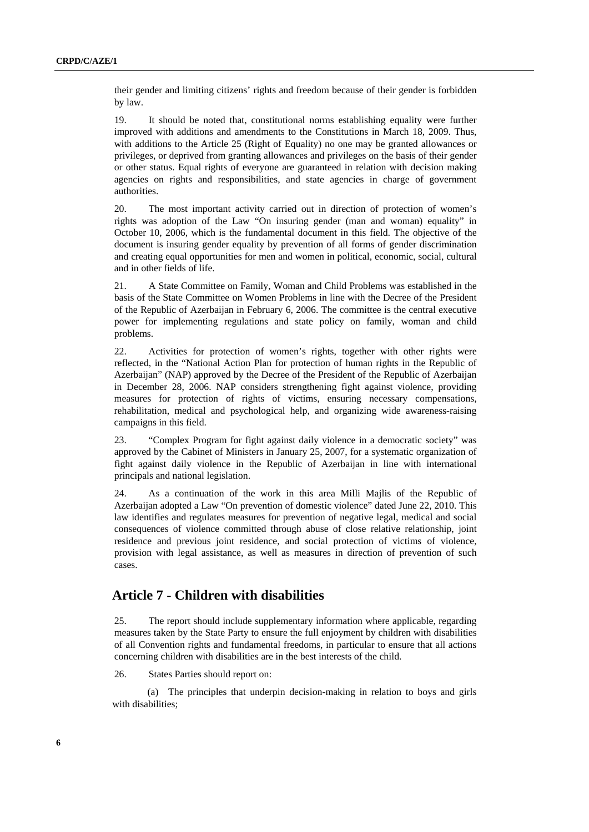<span id="page-5-0"></span>their gender and limiting citizens' rights and freedom because of their gender is forbidden by law.

19. It should be noted that, constitutional norms establishing equality were further improved with additions and amendments to the Constitutions in March 18, 2009. Thus, with additions to the Article 25 (Right of Equality) no one may be granted allowances or privileges, or deprived from granting allowances and privileges on the basis of their gender or other status. Equal rights of everyone are guaranteed in relation with decision making agencies on rights and responsibilities, and state agencies in charge of government authorities.

20. The most important activity carried out in direction of protection of women's rights was adoption of the Law "On insuring gender (man and woman) equality" in October 10, 2006, which is the fundamental document in this field. The objective of the document is insuring gender equality by prevention of all forms of gender discrimination and creating equal opportunities for men and women in political, economic, social, cultural and in other fields of life.

21. A State Committee on Family, Woman and Child Problems was established in the basis of the State Committee on Women Problems in line with the Decree of the President of the Republic of Azerbaijan in February 6, 2006. The committee is the central executive power for implementing regulations and state policy on family, woman and child problems.

22. Activities for protection of women's rights, together with other rights were reflected, in the "National Action Plan for protection of human rights in the Republic of Azerbaijan" (NAP) approved by the Decree of the President of the Republic of Azerbaijan in December 28, 2006. NAP considers strengthening fight against violence, providing measures for protection of rights of victims, ensuring necessary compensations, rehabilitation, medical and psychological help, and organizing wide awareness-raising campaigns in this field.

23. "Complex Program for fight against daily violence in a democratic society" was approved by the Cabinet of Ministers in January 25, 2007, for a systematic organization of fight against daily violence in the Republic of Azerbaijan in line with international principals and national legislation.

24. As a continuation of the work in this area Milli Majlis of the Republic of Azerbaijan adopted a Law "On prevention of domestic violence" dated June 22, 2010. This law identifies and regulates measures for prevention of negative legal, medical and social consequences of violence committed through abuse of close relative relationship, joint residence and previous joint residence, and social protection of victims of violence, provision with legal assistance, as well as measures in direction of prevention of such cases.

# **Article 7 - Children with disabilities**

25. The report should include supplementary information where applicable, regarding measures taken by the State Party to ensure the full enjoyment by children with disabilities of all Convention rights and fundamental freedoms, in particular to ensure that all actions concerning children with disabilities are in the best interests of the child.

26. States Parties should report on:

(a) The principles that underpin decision-making in relation to boys and girls with disabilities;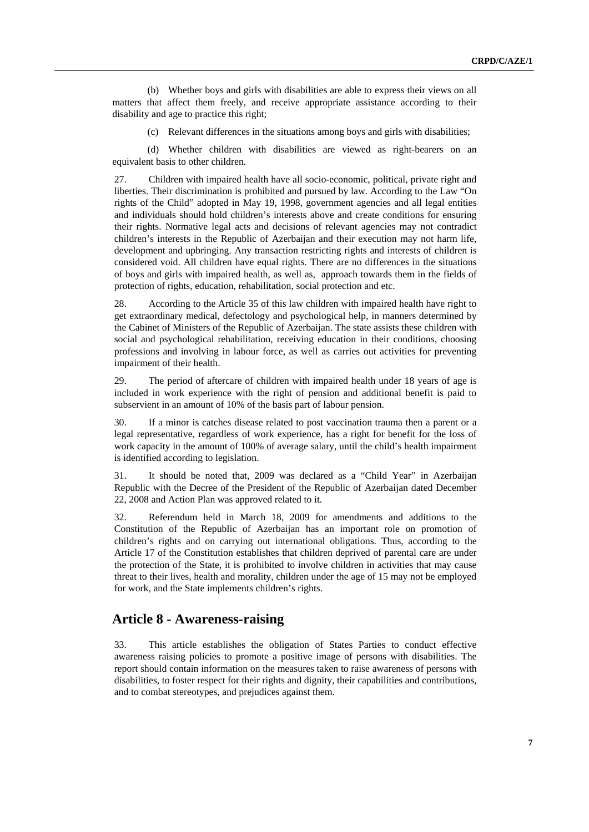<span id="page-6-0"></span>(b) Whether boys and girls with disabilities are able to express their views on all matters that affect them freely, and receive appropriate assistance according to their disability and age to practice this right;

(c) Relevant differences in the situations among boys and girls with disabilities;

(d) Whether children with disabilities are viewed as right-bearers on an equivalent basis to other children.

27. Children with impaired health have all socio-economic, political, private right and liberties. Their discrimination is prohibited and pursued by law. According to the Law "On rights of the Child" adopted in May 19, 1998, government agencies and all legal entities and individuals should hold children's interests above and create conditions for ensuring their rights. Normative legal acts and decisions of relevant agencies may not contradict children's interests in the Republic of Azerbaijan and their execution may not harm life, development and upbringing. Any transaction restricting rights and interests of children is considered void. All children have equal rights. There are no differences in the situations of boys and girls with impaired health, as well as, approach towards them in the fields of protection of rights, education, rehabilitation, social protection and etc.

28. According to the Article 35 of this law children with impaired health have right to get extraordinary medical, defectology and psychological help, in manners determined by the Cabinet of Ministers of the Republic of Azerbaijan. The state assists these children with social and psychological rehabilitation, receiving education in their conditions, choosing professions and involving in labour force, as well as carries out activities for preventing impairment of their health.

29. The period of aftercare of children with impaired health under 18 years of age is included in work experience with the right of pension and additional benefit is paid to subservient in an amount of 10% of the basis part of labour pension.

30. If a minor is catches disease related to post vaccination trauma then a parent or a legal representative, regardless of work experience, has a right for benefit for the loss of work capacity in the amount of 100% of average salary, until the child's health impairment is identified according to legislation.

31. It should be noted that, 2009 was declared as a "Child Year" in Azerbaijan Republic with the Decree of the President of the Republic of Azerbaijan dated December 22, 2008 and Action Plan was approved related to it.

32. Referendum held in March 18, 2009 for amendments and additions to the Constitution of the Republic of Azerbaijan has an important role on promotion of children's rights and on carrying out international obligations. Thus, according to the Article 17 of the Constitution establishes that children deprived of parental care are under the protection of the State, it is prohibited to involve children in activities that may cause threat to their lives, health and morality, children under the age of 15 may not be employed for work, and the State implements children's rights.

#### **Article 8 - Awareness-raising**

33. This article establishes the obligation of States Parties to conduct effective awareness raising policies to promote a positive image of persons with disabilities. The report should contain information on the measures taken to raise awareness of persons with disabilities, to foster respect for their rights and dignity, their capabilities and contributions, and to combat stereotypes, and prejudices against them.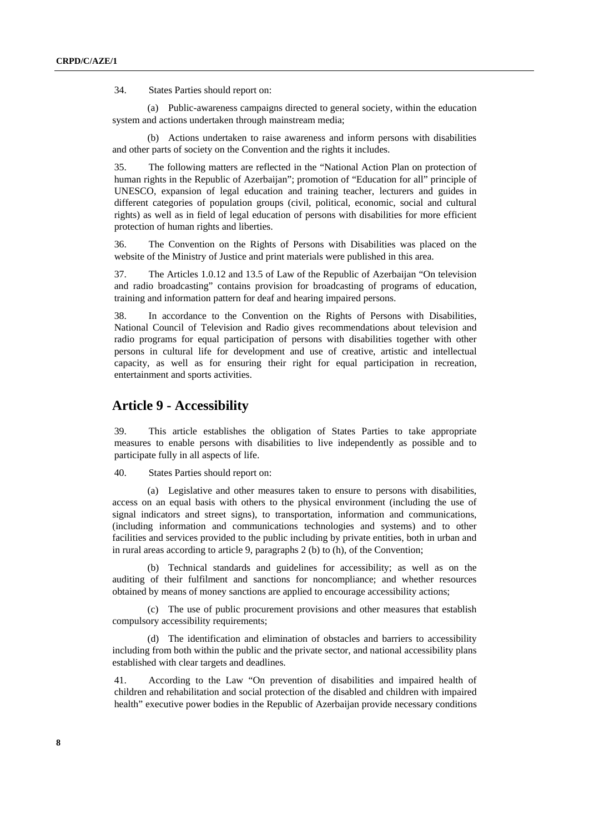<span id="page-7-0"></span>34. States Parties should report on:

(a) Public-awareness campaigns directed to general society, within the education system and actions undertaken through mainstream media;

(b) Actions undertaken to raise awareness and inform persons with disabilities and other parts of society on the Convention and the rights it includes.

35. The following matters are reflected in the "National Action Plan on protection of human rights in the Republic of Azerbaijan"; promotion of "Education for all" principle of UNESCO, expansion of legal education and training teacher, lecturers and guides in different categories of population groups (civil, political, economic, social and cultural rights) as well as in field of legal education of persons with disabilities for more efficient protection of human rights and liberties.

36. The Convention on the Rights of Persons with Disabilities was placed on the website of the Ministry of Justice and print materials were published in this area.

37. The Articles 1.0.12 and 13.5 of Law of the Republic of Azerbaijan "On television and radio broadcasting" contains provision for broadcasting of programs of education, training and information pattern for deaf and hearing impaired persons.

38. In accordance to the Convention on the Rights of Persons with Disabilities, National Council of Television and Radio gives recommendations about television and radio programs for equal participation of persons with disabilities together with other persons in cultural life for development and use of creative, artistic and intellectual capacity, as well as for ensuring their right for equal participation in recreation, entertainment and sports activities.

# **Article 9 - Accessibility**

39. This article establishes the obligation of States Parties to take appropriate measures to enable persons with disabilities to live independently as possible and to participate fully in all aspects of life.

40. States Parties should report on:

(a) Legislative and other measures taken to ensure to persons with disabilities, access on an equal basis with others to the physical environment (including the use of signal indicators and street signs), to transportation, information and communications, (including information and communications technologies and systems) and to other facilities and services provided to the public including by private entities, both in urban and in rural areas according to article 9, paragraphs 2 (b) to (h), of the Convention;

(b) Technical standards and guidelines for accessibility; as well as on the auditing of their fulfilment and sanctions for noncompliance; and whether resources obtained by means of money sanctions are applied to encourage accessibility actions;

(c) The use of public procurement provisions and other measures that establish compulsory accessibility requirements;

(d) The identification and elimination of obstacles and barriers to accessibility including from both within the public and the private sector, and national accessibility plans established with clear targets and deadlines.

41. According to the Law "On prevention of disabilities and impaired health of children and rehabilitation and social protection of the disabled and children with impaired health" executive power bodies in the Republic of Azerbaijan provide necessary conditions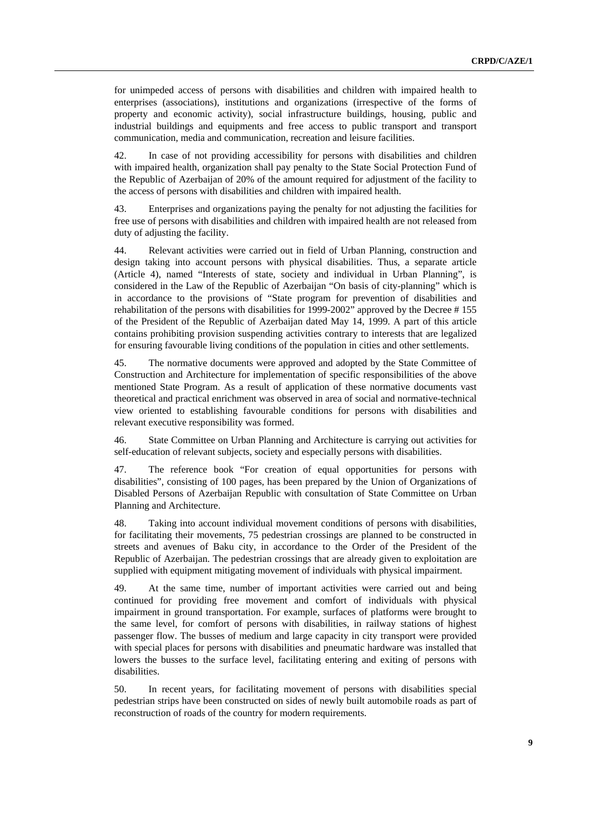for unimpeded access of persons with disabilities and children with impaired health to enterprises (associations), institutions and organizations (irrespective of the forms of property and economic activity), social infrastructure buildings, housing, public and industrial buildings and equipments and free access to public transport and transport communication, media and communication, recreation and leisure facilities.

42. In case of not providing accessibility for persons with disabilities and children with impaired health, organization shall pay penalty to the State Social Protection Fund of the Republic of Azerbaijan of 20% of the amount required for adjustment of the facility to the access of persons with disabilities and children with impaired health.

43. Enterprises and organizations paying the penalty for not adjusting the facilities for free use of persons with disabilities and children with impaired health are not released from duty of adjusting the facility.

44. Relevant activities were carried out in field of Urban Planning, construction and design taking into account persons with physical disabilities. Thus, a separate article (Article 4), named "Interests of state, society and individual in Urban Planning", is considered in the Law of the Republic of Azerbaijan "On basis of city-planning" which is in accordance to the provisions of "State program for prevention of disabilities and rehabilitation of the persons with disabilities for 1999-2002" approved by the Decree # 155 of the President of the Republic of Azerbaijan dated May 14, 1999. A part of this article contains prohibiting provision suspending activities contrary to interests that are legalized for ensuring favourable living conditions of the population in cities and other settlements.

45. The normative documents were approved and adopted by the State Committee of Construction and Architecture for implementation of specific responsibilities of the above mentioned State Program. As a result of application of these normative documents vast theoretical and practical enrichment was observed in area of social and normative-technical view oriented to establishing favourable conditions for persons with disabilities and relevant executive responsibility was formed.

46. State Committee on Urban Planning and Architecture is carrying out activities for self-education of relevant subjects, society and especially persons with disabilities.

47. The reference book "For creation of equal opportunities for persons with disabilities", consisting of 100 pages, has been prepared by the Union of Organizations of Disabled Persons of Azerbaijan Republic with consultation of State Committee on Urban Planning and Architecture.

48. Taking into account individual movement conditions of persons with disabilities, for facilitating their movements, 75 pedestrian crossings are planned to be constructed in streets and avenues of Baku city, in accordance to the Order of the President of the Republic of Azerbaijan. The pedestrian crossings that are already given to exploitation are supplied with equipment mitigating movement of individuals with physical impairment.

49. At the same time, number of important activities were carried out and being continued for providing free movement and comfort of individuals with physical impairment in ground transportation. For example, surfaces of platforms were brought to the same level, for comfort of persons with disabilities, in railway stations of highest passenger flow. The busses of medium and large capacity in city transport were provided with special places for persons with disabilities and pneumatic hardware was installed that lowers the busses to the surface level, facilitating entering and exiting of persons with disabilities.

50. In recent years, for facilitating movement of persons with disabilities special pedestrian strips have been constructed on sides of newly built automobile roads as part of reconstruction of roads of the country for modern requirements.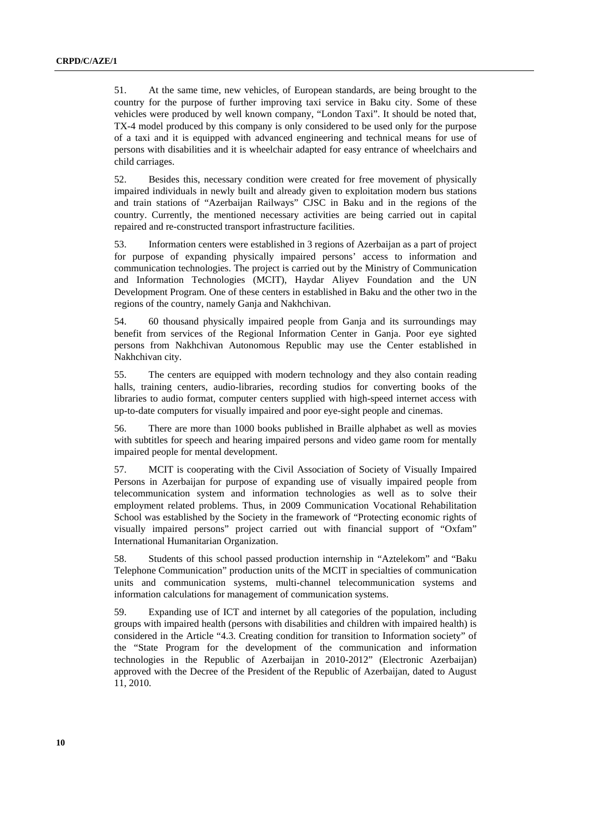51. At the same time, new vehicles, of European standards, are being brought to the country for the purpose of further improving taxi service in Baku city. Some of these vehicles were produced by well known company, "London Taxi". It should be noted that, TX-4 model produced by this company is only considered to be used only for the purpose of a taxi and it is equipped with advanced engineering and technical means for use of persons with disabilities and it is wheelchair adapted for easy entrance of wheelchairs and child carriages.

52. Besides this, necessary condition were created for free movement of physically impaired individuals in newly built and already given to exploitation modern bus stations and train stations of "Azerbaijan Railways" CJSC in Baku and in the regions of the country. Currently, the mentioned necessary activities are being carried out in capital repaired and re-constructed transport infrastructure facilities.

53. Information centers were established in 3 regions of Azerbaijan as a part of project for purpose of expanding physically impaired persons' access to information and communication technologies. The project is carried out by the Ministry of Communication and Information Technologies (MCIT), Haydar Aliyev Foundation and the UN Development Program. One of these centers in established in Baku and the other two in the regions of the country, namely Ganja and Nakhchivan.

54. 60 thousand physically impaired people from Ganja and its surroundings may benefit from services of the Regional Information Center in Ganja. Poor eye sighted persons from Nakhchivan Autonomous Republic may use the Center established in Nakhchivan city.

55. The centers are equipped with modern technology and they also contain reading halls, training centers, audio-libraries, recording studios for converting books of the libraries to audio format, computer centers supplied with high-speed internet access with up-to-date computers for visually impaired and poor eye-sight people and cinemas.

56. There are more than 1000 books published in Braille alphabet as well as movies with subtitles for speech and hearing impaired persons and video game room for mentally impaired people for mental development.

57. MCIT is cooperating with the Civil Association of Society of Visually Impaired Persons in Azerbaijan for purpose of expanding use of visually impaired people from telecommunication system and information technologies as well as to solve their employment related problems. Thus, in 2009 Communication Vocational Rehabilitation School was established by the Society in the framework of "Protecting economic rights of visually impaired persons" project carried out with financial support of "Oxfam" International Humanitarian Organization.

58. Students of this school passed production internship in "Aztelekom" and "Baku Telephone Communication" production units of the MCIT in specialties of communication units and communication systems, multi-channel telecommunication systems and information calculations for management of communication systems.

59. Expanding use of ICT and internet by all categories of the population, including groups with impaired health (persons with disabilities and children with impaired health) is considered in the Article "4.3. Creating condition for transition to Information society" of the "State Program for the development of the communication and information technologies in the Republic of Azerbaijan in 2010-2012" (Electronic Azerbaijan) approved with the Decree of the President of the Republic of Azerbaijan, dated to August 11, 2010.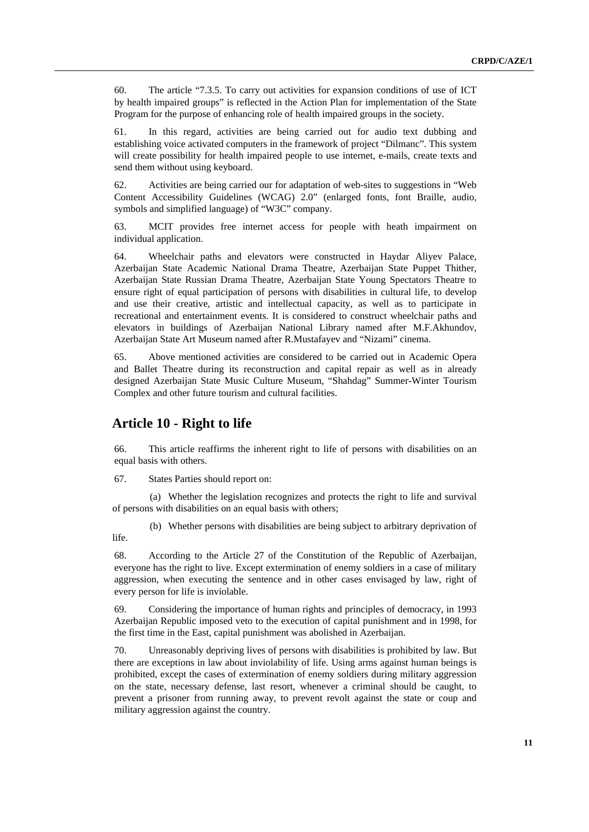<span id="page-10-0"></span>60. The article "7.3.5. To carry out activities for expansion conditions of use of ICT by health impaired groups" is reflected in the Action Plan for implementation of the State Program for the purpose of enhancing role of health impaired groups in the society.

61. In this regard, activities are being carried out for audio text dubbing and establishing voice activated computers in the framework of project "Dilmanc". This system will create possibility for health impaired people to use internet, e-mails, create texts and send them without using keyboard.

62. Activities are being carried our for adaptation of web-sites to suggestions in "Web Content Accessibility Guidelines (WCAG) 2.0" (enlarged fonts, font Braille, audio, symbols and simplified language) of "W3C" company.

63. MCIT provides free internet access for people with heath impairment on individual application.

64. Wheelchair paths and elevators were constructed in Haydar Aliyev Palace, Azerbaijan State Academic National Drama Theatre, Azerbaijan State Puppet Thither, Azerbaijan State Russian Drama Theatre, Azerbaijan State Young Spectators Theatre to ensure right of equal participation of persons with disabilities in cultural life, to develop and use their creative, artistic and intellectual capacity, as well as to participate in recreational and entertainment events. It is considered to construct wheelchair paths and elevators in buildings of Azerbaijan National Library named after M.F.Akhundov, Azerbaijan State Art Museum named after R.Mustafayev and "Nizami" cinema.

65. Above mentioned activities are considered to be carried out in Academic Opera and Ballet Theatre during its reconstruction and capital repair as well as in already designed Azerbaijan State Music Culture Museum, "Shahdag" Summer-Winter Tourism Complex and other future tourism and cultural facilities.

#### **Article 10 - Right to life**

66. This article reaffirms the inherent right to life of persons with disabilities on an equal basis with others.

67. States Parties should report on:

(a) Whether the legislation recognizes and protects the right to life and survival of persons with disabilities on an equal basis with others;

(b) Whether persons with disabilities are being subject to arbitrary deprivation of life.

68. According to the Article 27 of the Constitution of the Republic of Azerbaijan, everyone has the right to live. Except extermination of enemy soldiers in a case of military aggression, when executing the sentence and in other cases envisaged by law, right of every person for life is inviolable.

69. Considering the importance of human rights and principles of democracy, in 1993 Azerbaijan Republic imposed veto to the execution of capital punishment and in 1998, for the first time in the East, capital punishment was abolished in Azerbaijan.

70. Unreasonably depriving lives of persons with disabilities is prohibited by law. But there are exceptions in law about inviolability of life. Using arms against human beings is prohibited, except the cases of extermination of enemy soldiers during military aggression on the state, necessary defense, last resort, whenever a criminal should be caught, to prevent a prisoner from running away, to prevent revolt against the state or coup and military aggression against the country.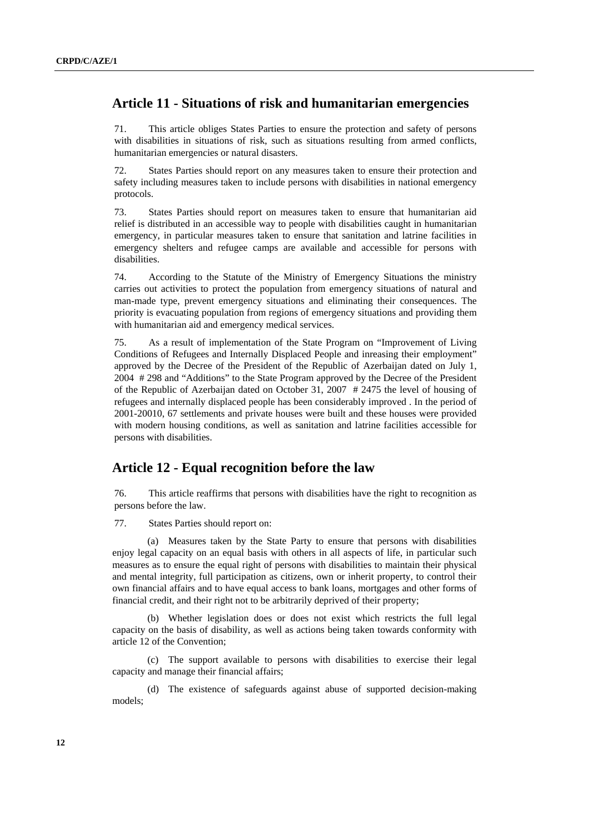# <span id="page-11-0"></span> **Article 11 - Situations of risk and humanitarian emergencies**

71. This article obliges States Parties to ensure the protection and safety of persons with disabilities in situations of risk, such as situations resulting from armed conflicts, humanitarian emergencies or natural disasters.

72. States Parties should report on any measures taken to ensure their protection and safety including measures taken to include persons with disabilities in national emergency protocols.

73. States Parties should report on measures taken to ensure that humanitarian aid relief is distributed in an accessible way to people with disabilities caught in humanitarian emergency, in particular measures taken to ensure that sanitation and latrine facilities in emergency shelters and refugee camps are available and accessible for persons with disabilities.

74. According to the Statute of the Ministry of Emergency Situations the ministry carries out activities to protect the population from emergency situations of natural and man-made type, prevent emergency situations and eliminating their consequences. The priority is evacuating population from regions of emergency situations and providing them with humanitarian aid and emergency medical services.

75. As a result of implementation of the State Program on "Improvement of Living Conditions of Refugees and Internally Displaced People and inreasing their employment" approved by the Decree of the President of the Republic of Azerbaijan dated on July 1, 2004 # 298 and "Additions" to the State Program approved by the Decree of the President of the Republic of Azerbaijan dated on October 31, 2007 # 2475 the level of housing of refugees and internally displaced people has been considerably improved . In the period of 2001-20010, 67 settlements and private houses were built and these houses were provided with modern housing conditions, as well as sanitation and latrine facilities accessible for persons with disabilities.

#### **Article 12 - Equal recognition before the law**

76. This article reaffirms that persons with disabilities have the right to recognition as persons before the law.

77. States Parties should report on:

(a) Measures taken by the State Party to ensure that persons with disabilities enjoy legal capacity on an equal basis with others in all aspects of life, in particular such measures as to ensure the equal right of persons with disabilities to maintain their physical and mental integrity, full participation as citizens, own or inherit property, to control their own financial affairs and to have equal access to bank loans, mortgages and other forms of financial credit, and their right not to be arbitrarily deprived of their property;

(b) Whether legislation does or does not exist which restricts the full legal capacity on the basis of disability, as well as actions being taken towards conformity with article 12 of the Convention;

(c) The support available to persons with disabilities to exercise their legal capacity and manage their financial affairs;

(d) The existence of safeguards against abuse of supported decision-making models;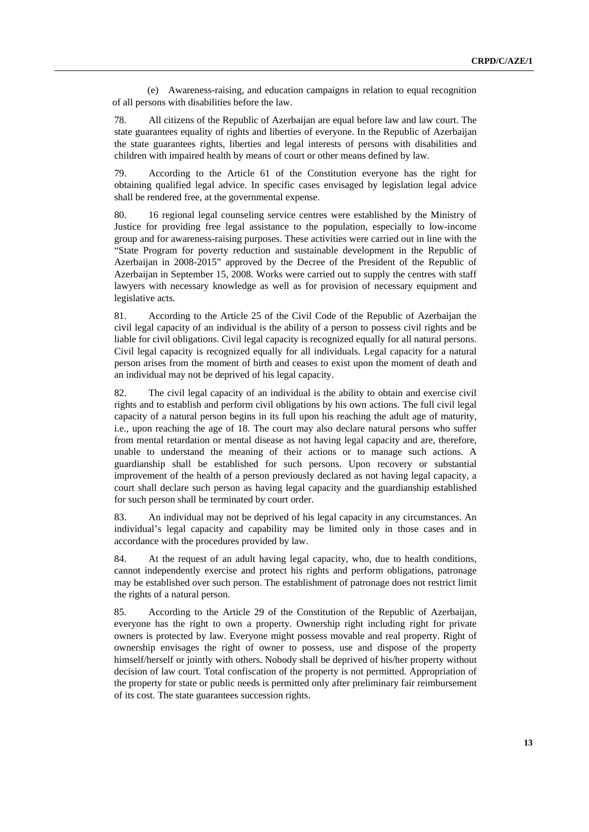(e) Awareness-raising, and education campaigns in relation to equal recognition of all persons with disabilities before the law.

78. All citizens of the Republic of Azerbaijan are equal before law and law court. The state guarantees equality of rights and liberties of everyone. In the Republic of Azerbaijan the state guarantees rights, liberties and legal interests of persons with disabilities and children with impaired health by means of court or other means defined by law.

79. According to the Article 61 of the Constitution everyone has the right for obtaining qualified legal advice. In specific cases envisaged by legislation legal advice shall be rendered free, at the governmental expense.

80. 16 regional legal counseling service centres were established by the Ministry of Justice for providing free legal assistance to the population, especially to low-income group and for awareness-raising purposes. These activities were carried out in line with the "State Program for poverty reduction and sustainable development in the Republic of Azerbaijan in 2008-2015" approved by the Decree of the President of the Republic of Azerbaijan in September 15, 2008. Works were carried out to supply the centres with staff lawyers with necessary knowledge as well as for provision of necessary equipment and legislative acts.

81. According to the Article 25 of the Civil Code of the Republic of Azerbaijan the civil legal capacity of an individual is the ability of a person to possess civil rights and be liable for civil obligations. Civil legal capacity is recognized equally for all natural persons. Civil legal capacity is recognized equally for all individuals. Legal capacity for a natural person arises from the moment of birth and ceases to exist upon the moment of death and an individual may not be deprived of his legal capacity.

82. The civil legal capacity of an individual is the ability to obtain and exercise civil rights and to establish and perform civil obligations by his own actions. The full civil legal capacity of a natural person begins in its full upon his reaching the adult age of maturity, i.e., upon reaching the age of 18. The court may also declare natural persons who suffer from mental retardation or mental disease as not having legal capacity and are, therefore, unable to understand the meaning of their actions or to manage such actions. A guardianship shall be established for such persons. Upon recovery or substantial improvement of the health of a person previously declared as not having legal capacity, a court shall declare such person as having legal capacity and the guardianship established for such person shall be terminated by court order.

83. An individual may not be deprived of his legal capacity in any circumstances. An individual's legal capacity and capability may be limited only in those cases and in accordance with the procedures provided by law.

84. At the request of an adult having legal capacity, who, due to health conditions, cannot independently exercise and protect his rights and perform obligations, patronage may be established over such person. The establishment of patronage does not restrict limit the rights of a natural person.

85. According to the Article 29 of the Constitution of the Republic of Azerbaijan, everyone has the right to own a property. Ownership right including right for private owners is protected by law. Everyone might possess movable and real property. Right of ownership envisages the right of owner to possess, use and dispose of the property himself/herself or jointly with others. Nobody shall be deprived of his/her property without decision of law court. Total confiscation of the property is not permitted. Appropriation of the property for state or public needs is permitted only after preliminary fair reimbursement of its cost. The state guarantees succession rights.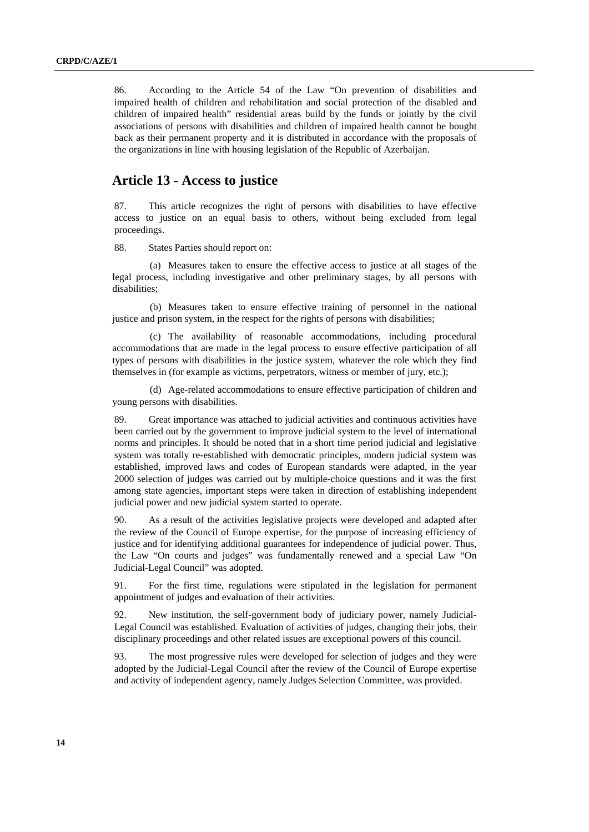<span id="page-13-0"></span>86. According to the Article 54 of the Law "On prevention of disabilities and impaired health of children and rehabilitation and social protection of the disabled and children of impaired health" residential areas build by the funds or jointly by the civil associations of persons with disabilities and children of impaired health cannot be bought back as their permanent property and it is distributed in accordance with the proposals of the organizations in line with housing legislation of the Republic of Azerbaijan.

#### **Article 13 - Access to justice**

87. This article recognizes the right of persons with disabilities to have effective access to justice on an equal basis to others, without being excluded from legal proceedings.

88. States Parties should report on:

(a) Measures taken to ensure the effective access to justice at all stages of the legal process, including investigative and other preliminary stages, by all persons with disabilities;

(b) Measures taken to ensure effective training of personnel in the national justice and prison system, in the respect for the rights of persons with disabilities;

(c) The availability of reasonable accommodations, including procedural accommodations that are made in the legal process to ensure effective participation of all types of persons with disabilities in the justice system, whatever the role which they find themselves in (for example as victims, perpetrators, witness or member of jury, etc.);

(d) Age-related accommodations to ensure effective participation of children and young persons with disabilities.

89. Great importance was attached to judicial activities and continuous activities have been carried out by the government to improve judicial system to the level of international norms and principles. It should be noted that in a short time period judicial and legislative system was totally re-established with democratic principles, modern judicial system was established, improved laws and codes of European standards were adapted, in the year 2000 selection of judges was carried out by multiple-choice questions and it was the first among state agencies, important steps were taken in direction of establishing independent judicial power and new judicial system started to operate.

90. As a result of the activities legislative projects were developed and adapted after the review of the Council of Europe expertise, for the purpose of increasing efficiency of justice and for identifying additional guarantees for independence of judicial power. Thus, the Law "On courts and judges" was fundamentally renewed and a special Law "On Judicial-Legal Council" was adopted.

91. For the first time, regulations were stipulated in the legislation for permanent appointment of judges and evaluation of their activities.

92. New institution, the self-government body of judiciary power, namely Judicial-Legal Council was established. Evaluation of activities of judges, changing their jobs, their disciplinary proceedings and other related issues are exceptional powers of this council.

93. The most progressive rules were developed for selection of judges and they were adopted by the Judicial-Legal Council after the review of the Council of Europe expertise and activity of independent agency, namely Judges Selection Committee, was provided.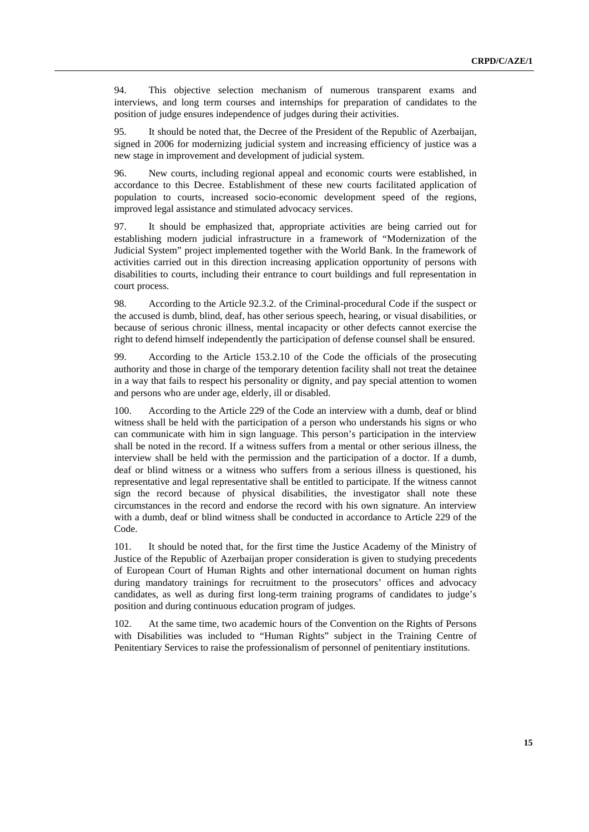94. This objective selection mechanism of numerous transparent exams and interviews, and long term courses and internships for preparation of candidates to the position of judge ensures independence of judges during their activities.

95. It should be noted that, the Decree of the President of the Republic of Azerbaijan, signed in 2006 for modernizing judicial system and increasing efficiency of justice was a new stage in improvement and development of judicial system.

96. New courts, including regional appeal and economic courts were established, in accordance to this Decree. Establishment of these new courts facilitated application of population to courts, increased socio-economic development speed of the regions, improved legal assistance and stimulated advocacy services.

97. It should be emphasized that, appropriate activities are being carried out for establishing modern judicial infrastructure in a framework of "Modernization of the Judicial System" project implemented together with the World Bank. In the framework of activities carried out in this direction increasing application opportunity of persons with disabilities to courts, including their entrance to court buildings and full representation in court process.

98. According to the Article 92.3.2. of the Criminal-procedural Code if the suspect or the accused is dumb, blind, deaf, has other serious speech, hearing, or visual disabilities, or because of serious chronic illness, mental incapacity or other defects cannot exercise the right to defend himself independently the participation of defense counsel shall be ensured.

99. According to the Article 153.2.10 of the Code the officials of the prosecuting authority and those in charge of the temporary detention facility shall not treat the detainee in a way that fails to respect his personality or dignity, and pay special attention to women and persons who are under age, elderly, ill or disabled.

100. According to the Article 229 of the Code an interview with a dumb, deaf or blind witness shall be held with the participation of a person who understands his signs or who can communicate with him in sign language. This person's participation in the interview shall be noted in the record. If a witness suffers from a mental or other serious illness, the interview shall be held with the permission and the participation of a doctor. If a dumb, deaf or blind witness or a witness who suffers from a serious illness is questioned, his representative and legal representative shall be entitled to participate. If the witness cannot sign the record because of physical disabilities, the investigator shall note these circumstances in the record and endorse the record with his own signature. An interview with a dumb, deaf or blind witness shall be conducted in accordance to Article 229 of the Code.

101. It should be noted that, for the first time the Justice Academy of the Ministry of Justice of the Republic of Azerbaijan proper consideration is given to studying precedents of European Court of Human Rights and other international document on human rights during mandatory trainings for recruitment to the prosecutors' offices and advocacy candidates, as well as during first long-term training programs of candidates to judge's position and during continuous education program of judges.

102. At the same time, two academic hours of the Convention on the Rights of Persons with Disabilities was included to "Human Rights" subject in the Training Centre of Penitentiary Services to raise the professionalism of personnel of penitentiary institutions.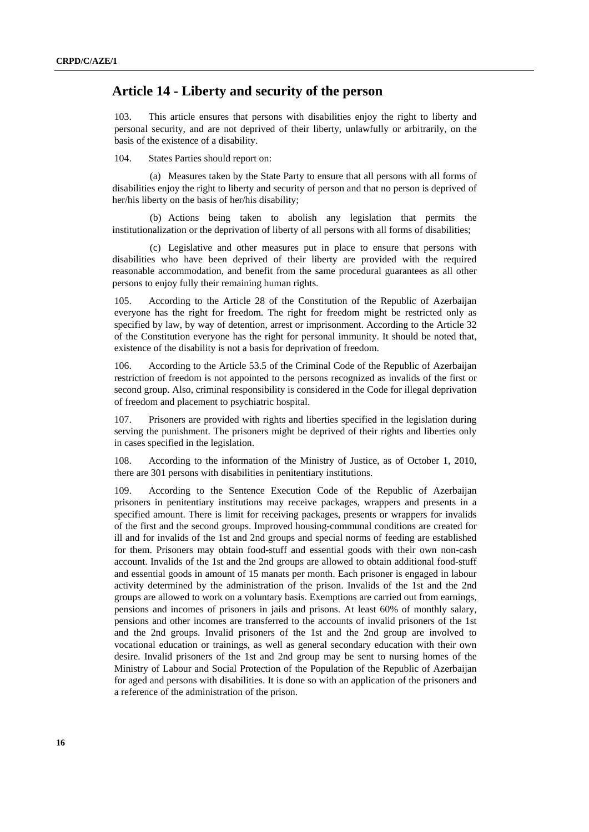#### <span id="page-15-0"></span> **Article 14 - Liberty and security of the person**

103. This article ensures that persons with disabilities enjoy the right to liberty and personal security, and are not deprived of their liberty, unlawfully or arbitrarily, on the basis of the existence of a disability.

104. States Parties should report on:

(a) Measures taken by the State Party to ensure that all persons with all forms of disabilities enjoy the right to liberty and security of person and that no person is deprived of her/his liberty on the basis of her/his disability;

(b) Actions being taken to abolish any legislation that permits the institutionalization or the deprivation of liberty of all persons with all forms of disabilities;

(c) Legislative and other measures put in place to ensure that persons with disabilities who have been deprived of their liberty are provided with the required reasonable accommodation, and benefit from the same procedural guarantees as all other persons to enjoy fully their remaining human rights.

105. According to the Article 28 of the Constitution of the Republic of Azerbaijan everyone has the right for freedom. The right for freedom might be restricted only as specified by law, by way of detention, arrest or imprisonment. According to the Article 32 of the Constitution everyone has the right for personal immunity. It should be noted that, existence of the disability is not a basis for deprivation of freedom.

106. According to the Article 53.5 of the Criminal Code of the Republic of Azerbaijan restriction of freedom is not appointed to the persons recognized as invalids of the first or second group. Also, criminal responsibility is considered in the Code for illegal deprivation of freedom and placement to psychiatric hospital.

107. Prisoners are provided with rights and liberties specified in the legislation during serving the punishment. The prisoners might be deprived of their rights and liberties only in cases specified in the legislation.

108. According to the information of the Ministry of Justice, as of October 1, 2010, there are 301 persons with disabilities in penitentiary institutions.

109. According to the Sentence Execution Code of the Republic of Azerbaijan prisoners in penitentiary institutions may receive packages, wrappers and presents in a specified amount. There is limit for receiving packages, presents or wrappers for invalids of the first and the second groups. Improved housing-communal conditions are created for ill and for invalids of the 1st and 2nd groups and special norms of feeding are established for them. Prisoners may obtain food-stuff and essential goods with their own non-cash account. Invalids of the 1st and the 2nd groups are allowed to obtain additional food-stuff and essential goods in amount of 15 manats per month. Each prisoner is engaged in labour activity determined by the administration of the prison. Invalids of the 1st and the 2nd groups are allowed to work on a voluntary basis. Exemptions are carried out from earnings, pensions and incomes of prisoners in jails and prisons. At least 60% of monthly salary, pensions and other incomes are transferred to the accounts of invalid prisoners of the 1st and the 2nd groups. Invalid prisoners of the 1st and the 2nd group are involved to vocational education or trainings, as well as general secondary education with their own desire. Invalid prisoners of the 1st and 2nd group may be sent to nursing homes of the Ministry of Labour and Social Protection of the Population of the Republic of Azerbaijan for aged and persons with disabilities. It is done so with an application of the prisoners and a reference of the administration of the prison.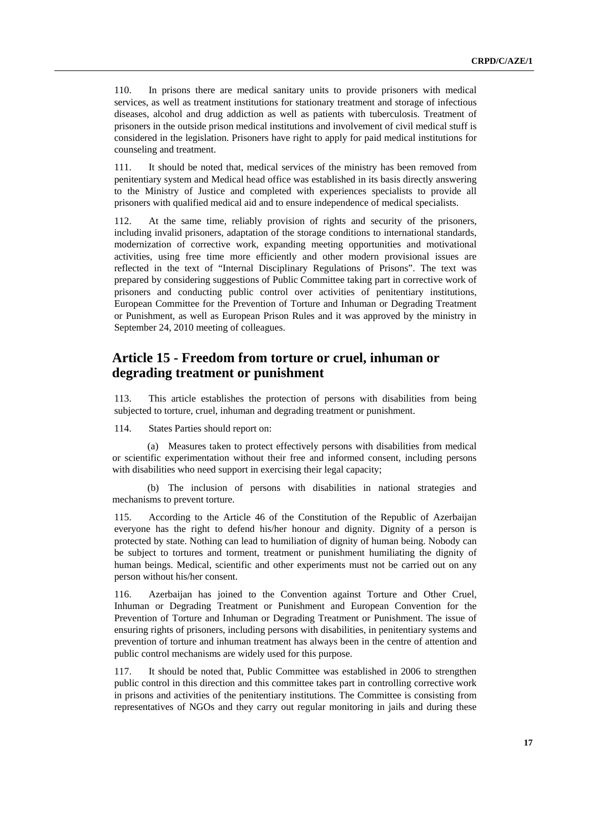<span id="page-16-0"></span>110. In prisons there are medical sanitary units to provide prisoners with medical services, as well as treatment institutions for stationary treatment and storage of infectious diseases, alcohol and drug addiction as well as patients with tuberculosis. Treatment of prisoners in the outside prison medical institutions and involvement of civil medical stuff is considered in the legislation. Prisoners have right to apply for paid medical institutions for counseling and treatment.

111. It should be noted that, medical services of the ministry has been removed from penitentiary system and Medical head office was established in its basis directly answering to the Ministry of Justice and completed with experiences specialists to provide all prisoners with qualified medical aid and to ensure independence of medical specialists.

112. At the same time, reliably provision of rights and security of the prisoners, including invalid prisoners, adaptation of the storage conditions to international standards, modernization of corrective work, expanding meeting opportunities and motivational activities, using free time more efficiently and other modern provisional issues are reflected in the text of "Internal Disciplinary Regulations of Prisons". The text was prepared by considering suggestions of Public Committee taking part in corrective work of prisoners and conducting public control over activities of penitentiary institutions, European Committee for the Prevention of Torture and Inhuman or Degrading Treatment or Punishment, as well as European Prison Rules and it was approved by the ministry in September 24, 2010 meeting of colleagues.

# **Article 15 - Freedom from torture or cruel, inhuman or degrading treatment or punishment**

113. This article establishes the protection of persons with disabilities from being subjected to torture, cruel, inhuman and degrading treatment or punishment.

114. States Parties should report on:

(a) Measures taken to protect effectively persons with disabilities from medical or scientific experimentation without their free and informed consent, including persons with disabilities who need support in exercising their legal capacity;

(b) The inclusion of persons with disabilities in national strategies and mechanisms to prevent torture.

115. According to the Article 46 of the Constitution of the Republic of Azerbaijan everyone has the right to defend his/her honour and dignity. Dignity of a person is protected by state. Nothing can lead to humiliation of dignity of human being. Nobody can be subject to tortures and torment, treatment or punishment humiliating the dignity of human beings. Medical, scientific and other experiments must not be carried out on any person without his/her consent.

116. Azerbaijan has joined to the Convention against Torture and Other Cruel, Inhuman or Degrading Treatment or Punishment and European Convention for the Prevention of Torture and Inhuman or Degrading Treatment or Punishment. The issue of ensuring rights of prisoners, including persons with disabilities, in penitentiary systems and prevention of torture and inhuman treatment has always been in the centre of attention and public control mechanisms are widely used for this purpose.

117. It should be noted that, Public Committee was established in 2006 to strengthen public control in this direction and this committee takes part in controlling corrective work in prisons and activities of the penitentiary institutions. The Committee is consisting from representatives of NGOs and they carry out regular monitoring in jails and during these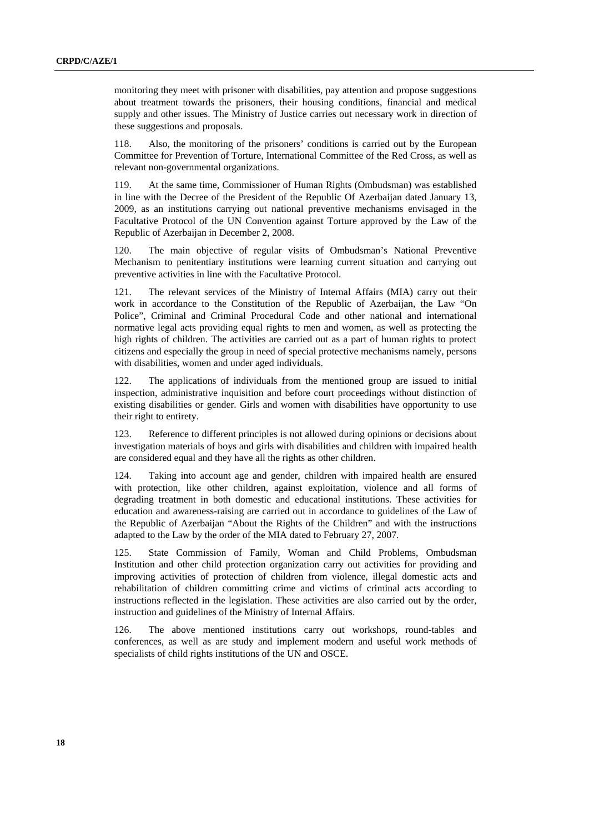monitoring they meet with prisoner with disabilities, pay attention and propose suggestions about treatment towards the prisoners, their housing conditions, financial and medical supply and other issues. The Ministry of Justice carries out necessary work in direction of these suggestions and proposals.

118. Also, the monitoring of the prisoners' conditions is carried out by the European Committee for Prevention of Torture, International Committee of the Red Cross, as well as relevant non-governmental organizations.

119. At the same time, Commissioner of Human Rights (Ombudsman) was established in line with the Decree of the President of the Republic Of Azerbaijan dated January 13, 2009, as an institutions carrying out national preventive mechanisms envisaged in the Facultative Protocol of the UN Convention against Torture approved by the Law of the Republic of Azerbaijan in December 2, 2008.

120. The main objective of regular visits of Ombudsman's National Preventive Mechanism to penitentiary institutions were learning current situation and carrying out preventive activities in line with the Facultative Protocol.

121. The relevant services of the Ministry of Internal Affairs (MIA) carry out their work in accordance to the Constitution of the Republic of Azerbaijan, the Law "On Police", Criminal and Criminal Procedural Code and other national and international normative legal acts providing equal rights to men and women, as well as protecting the high rights of children. The activities are carried out as a part of human rights to protect citizens and especially the group in need of special protective mechanisms namely, persons with disabilities, women and under aged individuals.

122. The applications of individuals from the mentioned group are issued to initial inspection, administrative inquisition and before court proceedings without distinction of existing disabilities or gender. Girls and women with disabilities have opportunity to use their right to entirety.

123. Reference to different principles is not allowed during opinions or decisions about investigation materials of boys and girls with disabilities and children with impaired health are considered equal and they have all the rights as other children.

124. Taking into account age and gender, children with impaired health are ensured with protection, like other children, against exploitation, violence and all forms of degrading treatment in both domestic and educational institutions. These activities for education and awareness-raising are carried out in accordance to guidelines of the Law of the Republic of Azerbaijan "About the Rights of the Children" and with the instructions adapted to the Law by the order of the MIA dated to February 27, 2007.

125. State Commission of Family, Woman and Child Problems, Ombudsman Institution and other child protection organization carry out activities for providing and improving activities of protection of children from violence, illegal domestic acts and rehabilitation of children committing crime and victims of criminal acts according to instructions reflected in the legislation. These activities are also carried out by the order, instruction and guidelines of the Ministry of Internal Affairs.

126. The above mentioned institutions carry out workshops, round-tables and conferences, as well as are study and implement modern and useful work methods of specialists of child rights institutions of the UN and OSCE.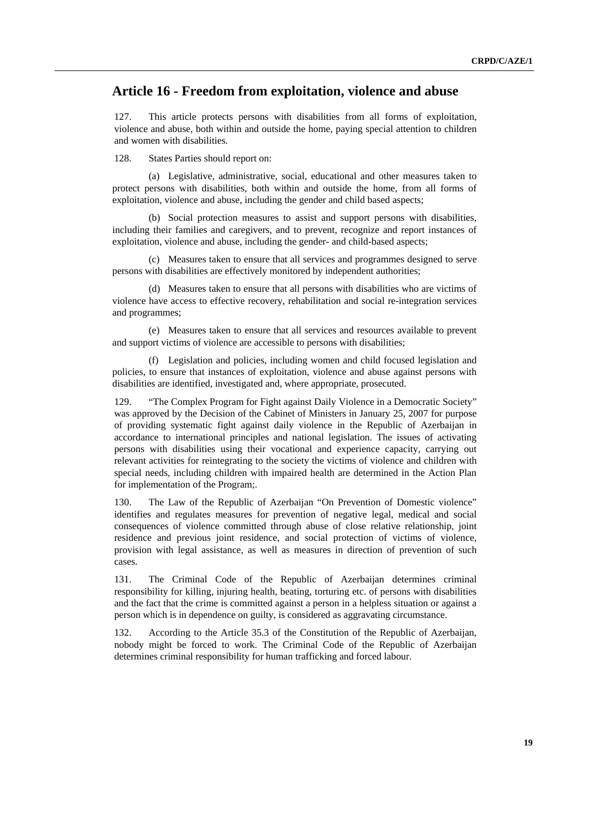## <span id="page-18-0"></span> **Article 16 - Freedom from exploitation, violence and abuse**

127. This article protects persons with disabilities from all forms of exploitation, violence and abuse, both within and outside the home, paying special attention to children and women with disabilities.

128. States Parties should report on:

(a) Legislative, administrative, social, educational and other measures taken to protect persons with disabilities, both within and outside the home, from all forms of exploitation, violence and abuse, including the gender and child based aspects;

(b) Social protection measures to assist and support persons with disabilities, including their families and caregivers, and to prevent, recognize and report instances of exploitation, violence and abuse, including the gender- and child-based aspects;

(c) Measures taken to ensure that all services and programmes designed to serve persons with disabilities are effectively monitored by independent authorities;

(d) Measures taken to ensure that all persons with disabilities who are victims of violence have access to effective recovery, rehabilitation and social re-integration services and programmes;

(e) Measures taken to ensure that all services and resources available to prevent and support victims of violence are accessible to persons with disabilities;

(f) Legislation and policies, including women and child focused legislation and policies, to ensure that instances of exploitation, violence and abuse against persons with disabilities are identified, investigated and, where appropriate, prosecuted.

129. "The Complex Program for Fight against Daily Violence in a Democratic Society" was approved by the Decision of the Cabinet of Ministers in January 25, 2007 for purpose of providing systematic fight against daily violence in the Republic of Azerbaijan in accordance to international principles and national legislation. The issues of activating persons with disabilities using their vocational and experience capacity, carrying out relevant activities for reintegrating to the society the victims of violence and children with special needs, including children with impaired health are determined in the Action Plan for implementation of the Program;.

130. The Law of the Republic of Azerbaijan "On Prevention of Domestic violence" identifies and regulates measures for prevention of negative legal, medical and social consequences of violence committed through abuse of close relative relationship, joint residence and previous joint residence, and social protection of victims of violence, provision with legal assistance, as well as measures in direction of prevention of such cases.

131. The Criminal Code of the Republic of Azerbaijan determines criminal responsibility for killing, injuring health, beating, torturing etc. of persons with disabilities and the fact that the crime is committed against a person in a helpless situation or against a person which is in dependence on guilty, is considered as aggravating circumstance.

132. According to the Article 35.3 of the Constitution of the Republic of Azerbaijan, nobody might be forced to work. The Criminal Code of the Republic of Azerbaijan determines criminal responsibility for human trafficking and forced labour.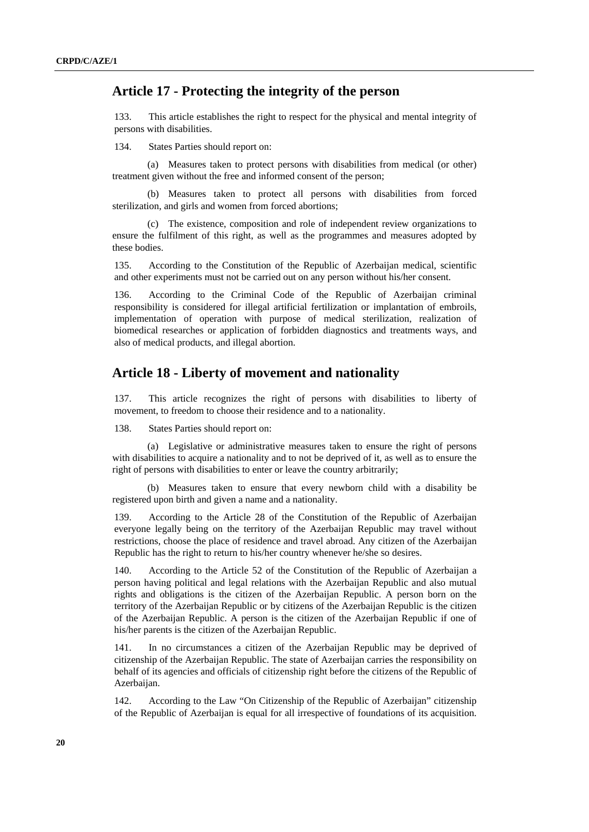## <span id="page-19-0"></span> **Article 17 - Protecting the integrity of the person**

133. This article establishes the right to respect for the physical and mental integrity of persons with disabilities.

134. States Parties should report on:

(a) Measures taken to protect persons with disabilities from medical (or other) treatment given without the free and informed consent of the person;

(b) Measures taken to protect all persons with disabilities from forced sterilization, and girls and women from forced abortions;

(c) The existence, composition and role of independent review organizations to ensure the fulfilment of this right, as well as the programmes and measures adopted by these bodies.

135. According to the Constitution of the Republic of Azerbaijan medical, scientific and other experiments must not be carried out on any person without his/her consent.

136. According to the Criminal Code of the Republic of Azerbaijan criminal responsibility is considered for illegal artificial fertilization or implantation of embroils, implementation of operation with purpose of medical sterilization, realization of biomedical researches or application of forbidden diagnostics and treatments ways, and also of medical products, and illegal abortion.

#### **Article 18 - Liberty of movement and nationality**

137. This article recognizes the right of persons with disabilities to liberty of movement, to freedom to choose their residence and to a nationality.

138. States Parties should report on:

(a) Legislative or administrative measures taken to ensure the right of persons with disabilities to acquire a nationality and to not be deprived of it, as well as to ensure the right of persons with disabilities to enter or leave the country arbitrarily;

(b) Measures taken to ensure that every newborn child with a disability be registered upon birth and given a name and a nationality.

139. According to the Article 28 of the Constitution of the Republic of Azerbaijan everyone legally being on the territory of the Azerbaijan Republic may travel without restrictions, choose the place of residence and travel abroad. Any citizen of the Azerbaijan Republic has the right to return to his/her country whenever he/she so desires.

140. According to the Article 52 of the Constitution of the Republic of Azerbaijan a person having political and legal relations with the Azerbaijan Republic and also mutual rights and obligations is the citizen of the Azerbaijan Republic. A person born on the territory of the Azerbaijan Republic or by citizens of the Azerbaijan Republic is the citizen of the Azerbaijan Republic. A person is the citizen of the Azerbaijan Republic if one of his/her parents is the citizen of the Azerbaijan Republic.

141. In no circumstances a citizen of the Azerbaijan Republic may be deprived of citizenship of the Azerbaijan Republic. The state of Azerbaijan carries the responsibility on behalf of its agencies and officials of citizenship right before the citizens of the Republic of Azerbaijan.

142. According to the Law "On Citizenship of the Republic of Azerbaijan" citizenship of the Republic of Azerbaijan is equal for all irrespective of foundations of its acquisition.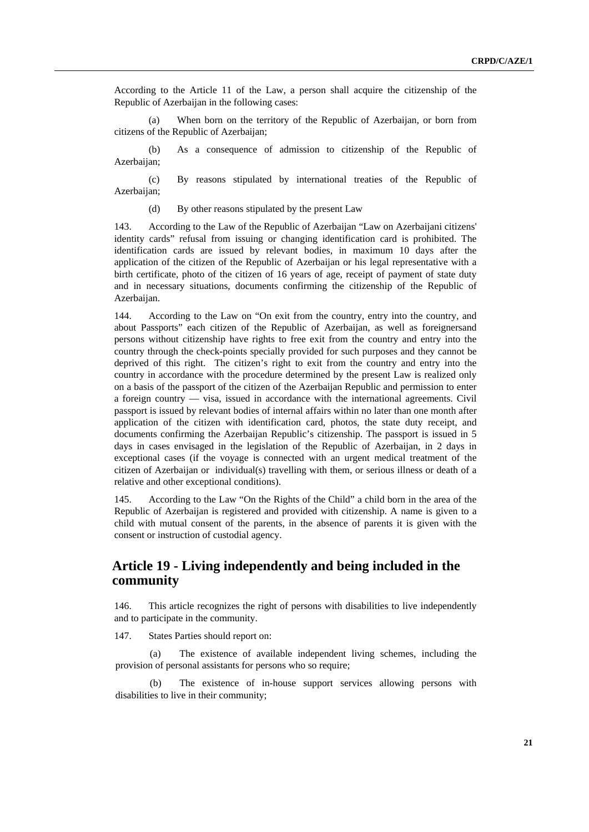<span id="page-20-0"></span>According to the Article 11 of the Law, a person shall acquire the citizenship of the Republic of Azerbaijan in the following cases:

(a) When born on the territory of the Republic of Azerbaijan, or born from citizens of the Republic of Azerbaijan;

(b) As a consequence of admission to citizenship of the Republic of Azerbaijan:

(c) By reasons stipulated by international treaties of the Republic of Azerbaijan;

(d) By other reasons stipulated by the present Law

143. According to the Law of the Republic of Azerbaijan "Law on Azerbaijani citizens' identity cards" refusal from issuing or changing identification card is prohibited. The identification cards are issued by relevant bodies, in maximum 10 days after the application of the citizen of the Republic of Azerbaijan or his legal representative with a birth certificate, photo of the citizen of 16 years of age, receipt of payment of state duty and in necessary situations, documents confirming the citizenship of the Republic of Azerbaijan.

144. According to the Law on "On exit from the country, entry into the country, and about Passports" each citizen of the Republic of Azerbaijan, as well as foreignersand persons without citizenship have rights to free exit from the country and entry into the country through the check-points specially provided for such purposes and they cannot be deprived of this right. The citizen's right to exit from the country and entry into the country in accordance with the procedure determined by the present Law is realized only on a basis of the passport of the citizen of the Azerbaijan Republic and permission to enter a foreign country — visa, issued in accordance with the international agreements. Civil passport is issued by relevant bodies of internal affairs within no later than one month after application of the citizen with identification card, photos, the state duty receipt, and documents confirming the Azerbaijan Republic's citizenship. The passport is issued in 5 days in cases envisaged in the legislation of the Republic of Azerbaijan, in 2 days in exceptional cases (if the voyage is connected with an urgent medical treatment of the citizen of Azerbaijan or individual(s) travelling with them, or serious illness or death of a relative and other exceptional conditions).

145. According to the Law "On the Rights of the Child" a child born in the area of the Republic of Azerbaijan is registered and provided with citizenship. A name is given to a child with mutual consent of the parents, in the absence of parents it is given with the consent or instruction of custodial agency.

## **Article 19 - Living independently and being included in the community**

146. This article recognizes the right of persons with disabilities to live independently and to participate in the community.

147. States Parties should report on:

(a) The existence of available independent living schemes, including the provision of personal assistants for persons who so require;

(b) The existence of in-house support services allowing persons with disabilities to live in their community;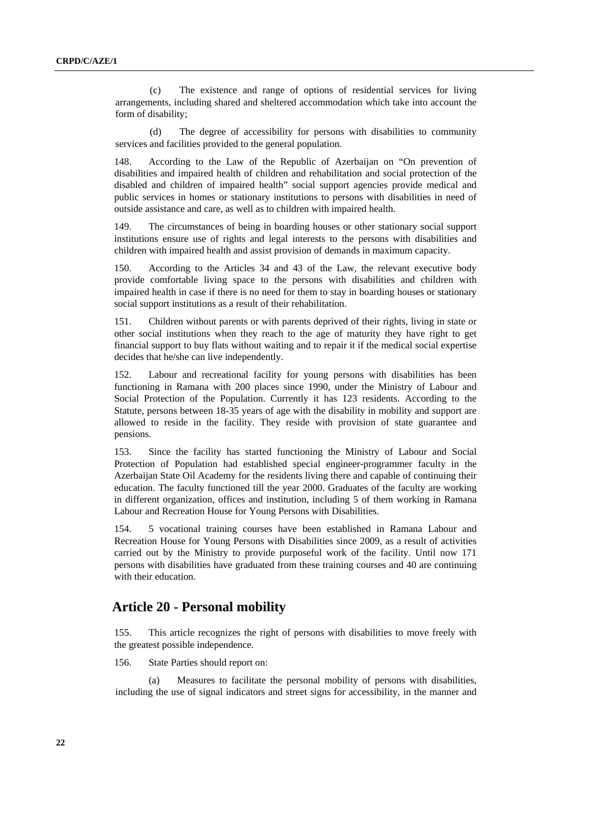<span id="page-21-0"></span>(c) The existence and range of options of residential services for living arrangements, including shared and sheltered accommodation which take into account the form of disability;

(d) The degree of accessibility for persons with disabilities to community services and facilities provided to the general population.

148. According to the Law of the Republic of Azerbaijan on "On prevention of disabilities and impaired health of children and rehabilitation and social protection of the disabled and children of impaired health" social support agencies provide medical and public services in homes or stationary institutions to persons with disabilities in need of outside assistance and care, as well as to children with impaired health.

149. The circumstances of being in boarding houses or other stationary social support institutions ensure use of rights and legal interests to the persons with disabilities and children with impaired health and assist provision of demands in maximum capacity.

150. According to the Articles 34 and 43 of the Law, the relevant executive body provide comfortable living space to the persons with disabilities and children with impaired health in case if there is no need for them to stay in boarding houses or stationary social support institutions as a result of their rehabilitation.

151. Children without parents or with parents deprived of their rights, living in state or other social institutions when they reach to the age of maturity they have right to get financial support to buy flats without waiting and to repair it if the medical social expertise decides that he/she can live independently.

152. Labour and recreational facility for young persons with disabilities has been functioning in Ramana with 200 places since 1990, under the Ministry of Labour and Social Protection of the Population. Currently it has 123 residents. According to the Statute, persons between 18-35 years of age with the disability in mobility and support are allowed to reside in the facility. They reside with provision of state guarantee and pensions.

153. Since the facility has started functioning the Ministry of Labour and Social Protection of Population had established special engineer-programmer faculty in the Azerbaijan State Oil Academy for the residents living there and capable of continuing their education. The faculty functioned till the year 2000. Graduates of the faculty are working in different organization, offices and institution, including 5 of them working in Ramana Labour and Recreation House for Young Persons with Disabilities.

154. 5 vocational training courses have been established in Ramana Labour and Recreation House for Young Persons with Disabilities since 2009, as a result of activities carried out by the Ministry to provide purposeful work of the facility. Until now 171 persons with disabilities have graduated from these training courses and 40 are continuing with their education.

#### **Article 20 - Personal mobility**

155. This article recognizes the right of persons with disabilities to move freely with the greatest possible independence.

156. State Parties should report on:

(a) Measures to facilitate the personal mobility of persons with disabilities, including the use of signal indicators and street signs for accessibility, in the manner and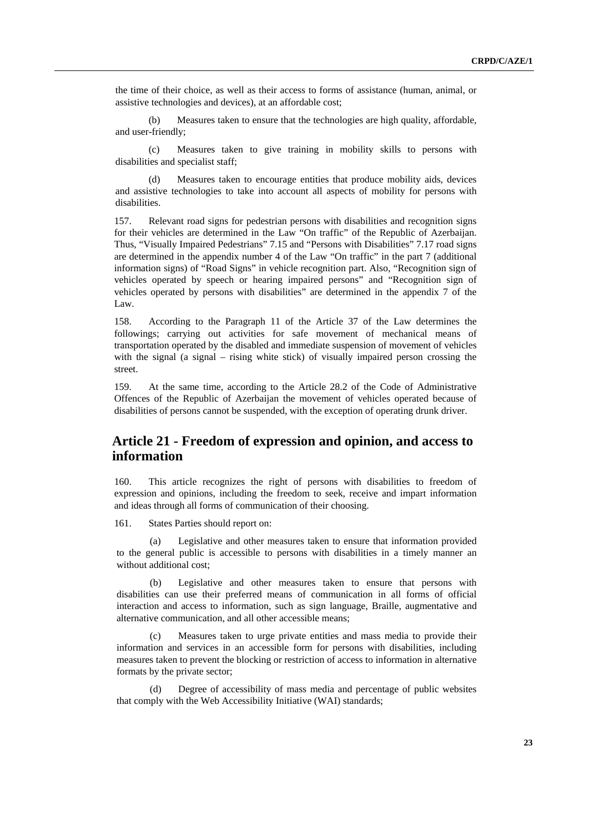<span id="page-22-0"></span>the time of their choice, as well as their access to forms of assistance (human, animal, or assistive technologies and devices), at an affordable cost;

(b) Measures taken to ensure that the technologies are high quality, affordable, and user-friendly;

(c) Measures taken to give training in mobility skills to persons with disabilities and specialist staff;

(d) Measures taken to encourage entities that produce mobility aids, devices and assistive technologies to take into account all aspects of mobility for persons with disabilities.

157. Relevant road signs for pedestrian persons with disabilities and recognition signs for their vehicles are determined in the Law "On traffic" of the Republic of Azerbaijan. Thus, "Visually Impaired Pedestrians" 7.15 and "Persons with Disabilities" 7.17 road signs are determined in the appendix number 4 of the Law "On traffic" in the part 7 (additional information signs) of "Road Signs" in vehicle recognition part. Also, "Recognition sign of vehicles operated by speech or hearing impaired persons" and "Recognition sign of vehicles operated by persons with disabilities" are determined in the appendix 7 of the Law.

158. According to the Paragraph 11 of the Article 37 of the Law determines the followings; carrying out activities for safe movement of mechanical means of transportation operated by the disabled and immediate suspension of movement of vehicles with the signal (a signal – rising white stick) of visually impaired person crossing the street.

159. At the same time, according to the Article 28.2 of the Code of Administrative Offences of the Republic of Azerbaijan the movement of vehicles operated because of disabilities of persons cannot be suspended, with the exception of operating drunk driver.

# **Article 21 - Freedom of expression and opinion, and access to information**

160. This article recognizes the right of persons with disabilities to freedom of expression and opinions, including the freedom to seek, receive and impart information and ideas through all forms of communication of their choosing.

161. States Parties should report on:

(a) Legislative and other measures taken to ensure that information provided to the general public is accessible to persons with disabilities in a timely manner an without additional cost;

(b) Legislative and other measures taken to ensure that persons with disabilities can use their preferred means of communication in all forms of official interaction and access to information, such as sign language, Braille, augmentative and alternative communication, and all other accessible means;

(c) Measures taken to urge private entities and mass media to provide their information and services in an accessible form for persons with disabilities, including measures taken to prevent the blocking or restriction of access to information in alternative formats by the private sector;

(d) Degree of accessibility of mass media and percentage of public websites that comply with the Web Accessibility Initiative (WAI) standards;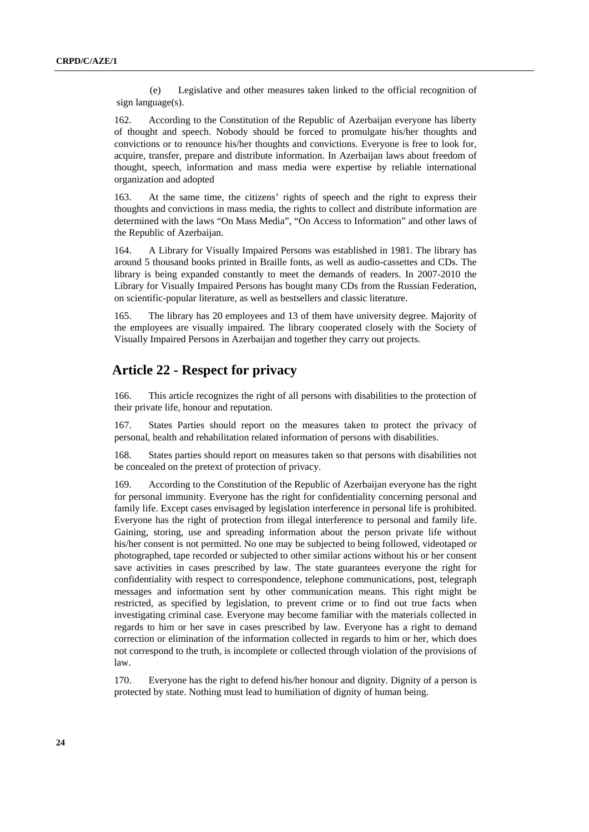<span id="page-23-0"></span>(e) Legislative and other measures taken linked to the official recognition of sign language(s).

162. According to the Constitution of the Republic of Azerbaijan everyone has liberty of thought and speech. Nobody should be forced to promulgate his/her thoughts and convictions or to renounce his/her thoughts and convictions. Everyone is free to look for, acquire, transfer, prepare and distribute information. In Azerbaijan laws about freedom of thought, speech, information and mass media were expertise by reliable international organization and adopted

163. At the same time, the citizens' rights of speech and the right to express their thoughts and convictions in mass media, the rights to collect and distribute information are determined with the laws "On Mass Media", "On Access to Information" and other laws of the Republic of Azerbaijan.

164. A Library for Visually Impaired Persons was established in 1981. The library has around 5 thousand books printed in Braille fonts, as well as audio-cassettes and CDs. The library is being expanded constantly to meet the demands of readers. In 2007-2010 the Library for Visually Impaired Persons has bought many CDs from the Russian Federation, on scientific-popular literature, as well as bestsellers and classic literature.

165. The library has 20 employees and 13 of them have university degree. Majority of the employees are visually impaired. The library cooperated closely with the Society of Visually Impaired Persons in Azerbaijan and together they carry out projects.

# **Article 22 - Respect for privacy**

166. This article recognizes the right of all persons with disabilities to the protection of their private life, honour and reputation.

167. States Parties should report on the measures taken to protect the privacy of personal, health and rehabilitation related information of persons with disabilities.

168. States parties should report on measures taken so that persons with disabilities not be concealed on the pretext of protection of privacy.

169. According to the Constitution of the Republic of Azerbaijan everyone has the right for personal immunity. Everyone has the right for confidentiality concerning personal and family life. Except cases envisaged by legislation interference in personal life is prohibited. Everyone has the right of protection from illegal interference to personal and family life. Gaining, storing, use and spreading information about the person private life without his/her consent is not permitted. No one may be subjected to being followed, videotaped or photographed, tape recorded or subjected to other similar actions without his or her consent save activities in cases prescribed by law. The state guarantees everyone the right for confidentiality with respect to correspondence, telephone communications, post, telegraph messages and information sent by other communication means. This right might be restricted, as specified by legislation, to prevent crime or to find out true facts when investigating criminal case. Everyone may become familiar with the materials collected in regards to him or her save in cases prescribed by law. Everyone has a right to demand correction or elimination of the information collected in regards to him or her, which does not correspond to the truth, is incomplete or collected through violation of the provisions of law.

170. Everyone has the right to defend his/her honour and dignity. Dignity of a person is protected by state. Nothing must lead to humiliation of dignity of human being.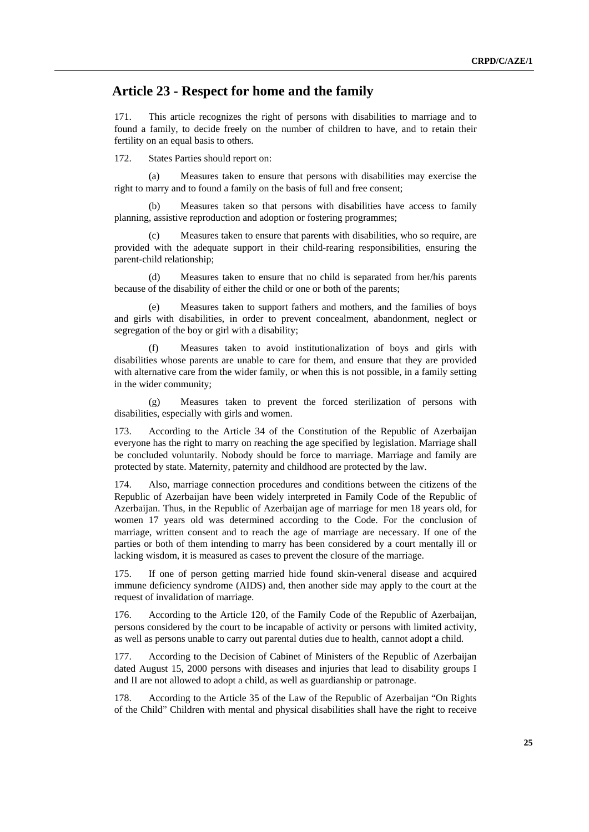# <span id="page-24-0"></span> **Article 23 - Respect for home and the family**

171. This article recognizes the right of persons with disabilities to marriage and to found a family, to decide freely on the number of children to have, and to retain their fertility on an equal basis to others.

172. States Parties should report on:

(a) Measures taken to ensure that persons with disabilities may exercise the right to marry and to found a family on the basis of full and free consent;

(b) Measures taken so that persons with disabilities have access to family planning, assistive reproduction and adoption or fostering programmes;

Measures taken to ensure that parents with disabilities, who so require, are provided with the adequate support in their child-rearing responsibilities, ensuring the parent-child relationship;

(d) Measures taken to ensure that no child is separated from her/his parents because of the disability of either the child or one or both of the parents;

Measures taken to support fathers and mothers, and the families of boys and girls with disabilities, in order to prevent concealment, abandonment, neglect or segregation of the boy or girl with a disability;

Measures taken to avoid institutionalization of boys and girls with disabilities whose parents are unable to care for them, and ensure that they are provided with alternative care from the wider family, or when this is not possible, in a family setting in the wider community;

(g) Measures taken to prevent the forced sterilization of persons with disabilities, especially with girls and women.

173. According to the Article 34 of the Constitution of the Republic of Azerbaijan everyone has the right to marry on reaching the age specified by legislation. Marriage shall be concluded voluntarily. Nobody should be force to marriage. Marriage and family are protected by state. Maternity, paternity and childhood are protected by the law.

174. Also, marriage connection procedures and conditions between the citizens of the Republic of Azerbaijan have been widely interpreted in Family Code of the Republic of Azerbaijan. Thus, in the Republic of Azerbaijan age of marriage for men 18 years old, for women 17 years old was determined according to the Code. For the conclusion of marriage, written consent and to reach the age of marriage are necessary. If one of the parties or both of them intending to marry has been considered by a court mentally ill or lacking wisdom, it is measured as cases to prevent the closure of the marriage.

175. If one of person getting married hide found skin-veneral disease and acquired immune deficiency syndrome (AIDS) and, then another side may apply to the court at the request of invalidation of marriage.

176. According to the Article 120, of the Family Code of the Republic of Azerbaijan, persons considered by the court to be incapable of activity or persons with limited activity, as well as persons unable to carry out parental duties due to health, cannot adopt a child.

177. According to the Decision of Cabinet of Ministers of the Republic of Azerbaijan dated August 15, 2000 persons with diseases and injuries that lead to disability groups I and II are not allowed to adopt a child, as well as guardianship or patronage.

178. According to the Article 35 of the Law of the Republic of Azerbaijan "On Rights of the Child" Children with mental and physical disabilities shall have the right to receive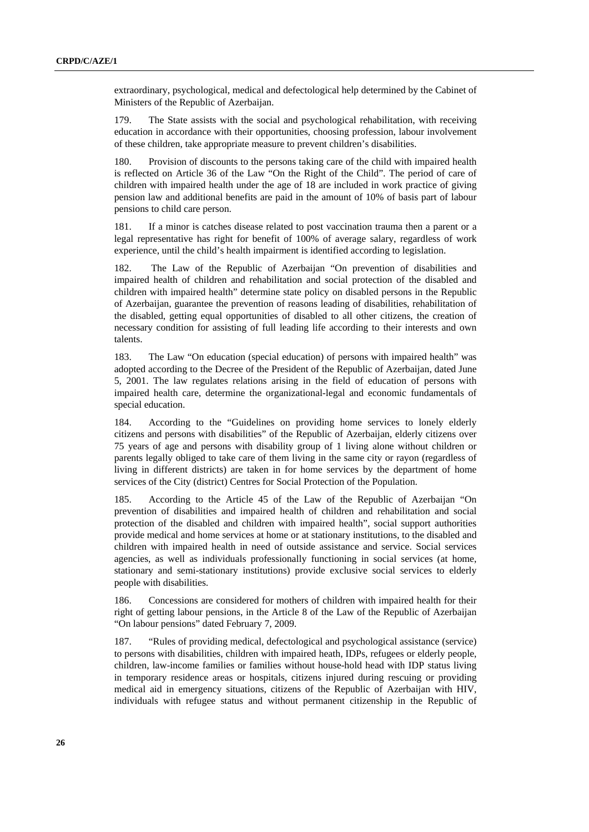extraordinary, psychological, medical and defectological help determined by the Cabinet of Ministers of the Republic of Azerbaijan.

179. The State assists with the social and psychological rehabilitation, with receiving education in accordance with their opportunities, choosing profession, labour involvement of these children, take appropriate measure to prevent children's disabilities.

180. Provision of discounts to the persons taking care of the child with impaired health is reflected on Article 36 of the Law "On the Right of the Child". The period of care of children with impaired health under the age of 18 are included in work practice of giving pension law and additional benefits are paid in the amount of 10% of basis part of labour pensions to child care person.

181. If a minor is catches disease related to post vaccination trauma then a parent or a legal representative has right for benefit of 100% of average salary, regardless of work experience, until the child's health impairment is identified according to legislation.

182. The Law of the Republic of Azerbaijan "On prevention of disabilities and impaired health of children and rehabilitation and social protection of the disabled and children with impaired health" determine state policy on disabled persons in the Republic of Azerbaijan, guarantee the prevention of reasons leading of disabilities, rehabilitation of the disabled, getting equal opportunities of disabled to all other citizens, the creation of necessary condition for assisting of full leading life according to their interests and own talents.

183. The Law "On education (special education) of persons with impaired health" was adopted according to the Decree of the President of the Republic of Azerbaijan, dated June 5, 2001. The law regulates relations arising in the field of education of persons with impaired health care, determine the organizational-legal and economic fundamentals of special education.

184. According to the "Guidelines on providing home services to lonely elderly citizens and persons with disabilities" of the Republic of Azerbaijan, elderly citizens over 75 years of age and persons with disability group of 1 living alone without children or parents legally obliged to take care of them living in the same city or rayon (regardless of living in different districts) are taken in for home services by the department of home services of the City (district) Centres for Social Protection of the Population.

185. According to the Article 45 of the Law of the Republic of Azerbaijan "On prevention of disabilities and impaired health of children and rehabilitation and social protection of the disabled and children with impaired health", social support authorities provide medical and home services at home or at stationary institutions, to the disabled and children with impaired health in need of outside assistance and service. Social services agencies, as well as individuals professionally functioning in social services (at home, stationary and semi-stationary institutions) provide exclusive social services to elderly people with disabilities.

186. Concessions are considered for mothers of children with impaired health for their right of getting labour pensions, in the Article 8 of the Law of the Republic of Azerbaijan "On labour pensions" dated February 7, 2009.

187. "Rules of providing medical, defectological and psychological assistance (service) to persons with disabilities, children with impaired heath, IDPs, refugees or elderly people, children, law-income families or families without house-hold head with IDP status living in temporary residence areas or hospitals, citizens injured during rescuing or providing medical aid in emergency situations, citizens of the Republic of Azerbaijan with HIV, individuals with refugee status and without permanent citizenship in the Republic of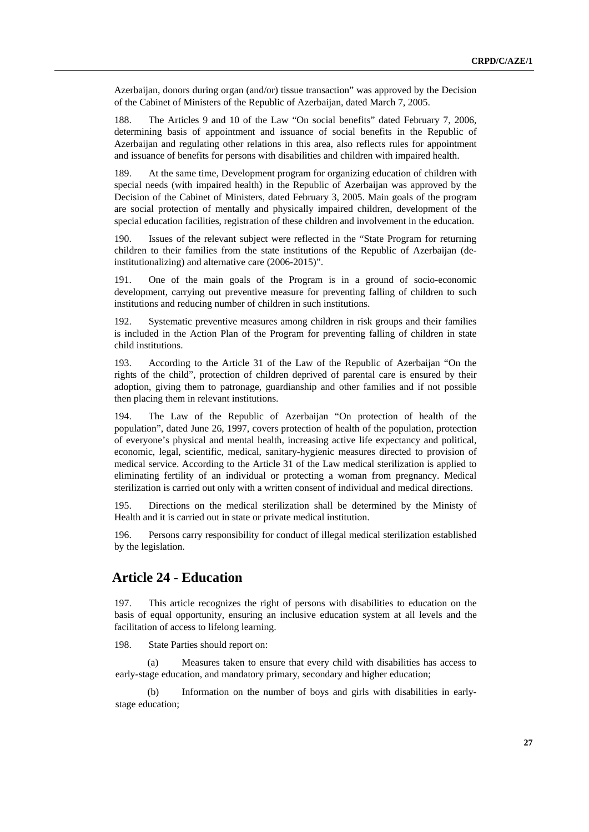<span id="page-26-0"></span>Azerbaijan, donors during organ (and/or) tissue transaction" was approved by the Decision of the Cabinet of Ministers of the Republic of Azerbaijan, dated March 7, 2005.

188. The Articles 9 and 10 of the Law "On social benefits" dated February 7, 2006, determining basis of appointment and issuance of social benefits in the Republic of Azerbaijan and regulating other relations in this area, also reflects rules for appointment and issuance of benefits for persons with disabilities and children with impaired health.

189. At the same time, Development program for organizing education of children with special needs (with impaired health) in the Republic of Azerbaijan was approved by the Decision of the Cabinet of Ministers, dated February 3, 2005. Main goals of the program are social protection of mentally and physically impaired children, development of the special education facilities, registration of these children and involvement in the education.

190. Issues of the relevant subject were reflected in the "State Program for returning children to their families from the state institutions of the Republic of Azerbaijan (deinstitutionalizing) and alternative care (2006-2015)".

191. One of the main goals of the Program is in a ground of socio-economic development, carrying out preventive measure for preventing falling of children to such institutions and reducing number of children in such institutions.

192. Systematic preventive measures among children in risk groups and their families is included in the Action Plan of the Program for preventing falling of children in state child institutions.

193. According to the Article 31 of the Law of the Republic of Azerbaijan "On the rights of the child", protection of children deprived of parental care is ensured by their adoption, giving them to patronage, guardianship and other families and if not possible then placing them in relevant institutions.

194. The Law of the Republic of Azerbaijan "On protection of health of the population", dated June 26, 1997, covers protection of health of the population, protection of everyone's physical and mental health, increasing active life expectancy and political, economic, legal, scientific, medical, sanitary-hygienic measures directed to provision of medical service. According to the Article 31 of the Law medical sterilization is applied to eliminating fertility of an individual or protecting a woman from pregnancy. Medical sterilization is carried out only with a written consent of individual and medical directions.

195. Directions on the medical sterilization shall be determined by the Ministy of Health and it is carried out in state or private medical institution.

196. Persons carry responsibility for conduct of illegal medical sterilization established by the legislation.

# **Article 24 - Education**

197. This article recognizes the right of persons with disabilities to education on the basis of equal opportunity, ensuring an inclusive education system at all levels and the facilitation of access to lifelong learning.

198. State Parties should report on:

(a) Measures taken to ensure that every child with disabilities has access to early-stage education, and mandatory primary, secondary and higher education;

(b) Information on the number of boys and girls with disabilities in earlystage education;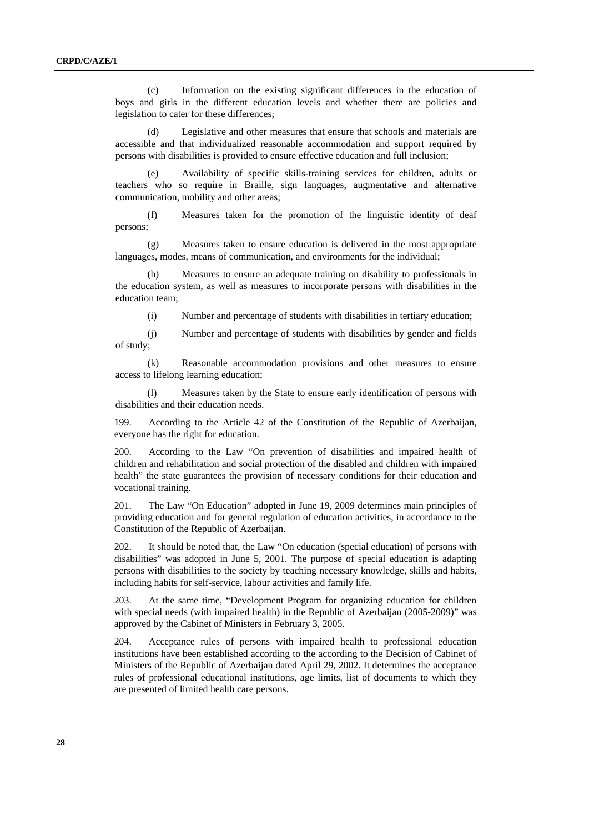(c) Information on the existing significant differences in the education of boys and girls in the different education levels and whether there are policies and legislation to cater for these differences;

(d) Legislative and other measures that ensure that schools and materials are accessible and that individualized reasonable accommodation and support required by persons with disabilities is provided to ensure effective education and full inclusion;

(e) Availability of specific skills-training services for children, adults or teachers who so require in Braille, sign languages, augmentative and alternative communication, mobility and other areas;

(f) Measures taken for the promotion of the linguistic identity of deaf persons;

(g) Measures taken to ensure education is delivered in the most appropriate languages, modes, means of communication, and environments for the individual;

(h) Measures to ensure an adequate training on disability to professionals in the education system, as well as measures to incorporate persons with disabilities in the education team;

(i) Number and percentage of students with disabilities in tertiary education;

(j) Number and percentage of students with disabilities by gender and fields of study;

(k) Reasonable accommodation provisions and other measures to ensure access to lifelong learning education;

(l) Measures taken by the State to ensure early identification of persons with disabilities and their education needs.

199. According to the Article 42 of the Constitution of the Republic of Azerbaijan, everyone has the right for education.

200. According to the Law "On prevention of disabilities and impaired health of children and rehabilitation and social protection of the disabled and children with impaired health" the state guarantees the provision of necessary conditions for their education and vocational training.

201. The Law "On Education" adopted in June 19, 2009 determines main principles of providing education and for general regulation of education activities, in accordance to the Constitution of the Republic of Azerbaijan.

202. It should be noted that, the Law "On education (special education) of persons with disabilities" was adopted in June 5, 2001. The purpose of special education is adapting persons with disabilities to the society by teaching necessary knowledge, skills and habits, including habits for self-service, labour activities and family life.

203. At the same time, "Development Program for organizing education for children with special needs (with impaired health) in the Republic of Azerbaijan (2005-2009)" was approved by the Cabinet of Ministers in February 3, 2005.

204. Acceptance rules of persons with impaired health to professional education institutions have been established according to the according to the Decision of Cabinet of Ministers of the Republic of Azerbaijan dated April 29, 2002. It determines the acceptance rules of professional educational institutions, age limits, list of documents to which they are presented of limited health care persons.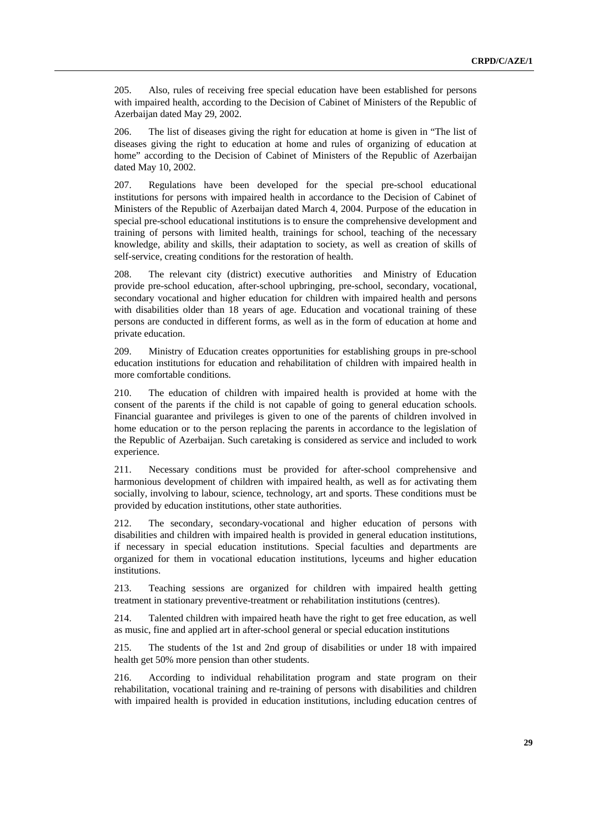205. Also, rules of receiving free special education have been established for persons with impaired health, according to the Decision of Cabinet of Ministers of the Republic of Azerbaijan dated May 29, 2002.

206. The list of diseases giving the right for education at home is given in "The list of diseases giving the right to education at home and rules of organizing of education at home" according to the Decision of Cabinet of Ministers of the Republic of Azerbaijan dated May 10, 2002.

207. Regulations have been developed for the special pre-school educational institutions for persons with impaired health in accordance to the Decision of Cabinet of Ministers of the Republic of Azerbaijan dated March 4, 2004. Purpose of the education in special pre-school educational institutions is to ensure the comprehensive development and training of persons with limited health, trainings for school, teaching of the necessary knowledge, ability and skills, their adaptation to society, as well as creation of skills of self-service, creating conditions for the restoration of health.

208. The relevant city (district) executive authorities and Ministry of Education provide pre-school education, after-school upbringing, pre-school, secondary, vocational, secondary vocational and higher education for children with impaired health and persons with disabilities older than 18 years of age. Education and vocational training of these persons are conducted in different forms, as well as in the form of education at home and private education.

209. Ministry of Education creates opportunities for establishing groups in pre-school education institutions for education and rehabilitation of children with impaired health in more comfortable conditions.

210. The education of children with impaired health is provided at home with the consent of the parents if the child is not capable of going to general education schools. Financial guarantee and privileges is given to one of the parents of children involved in home education or to the person replacing the parents in accordance to the legislation of the Republic of Azerbaijan. Such caretaking is considered as service and included to work experience.

211. Necessary conditions must be provided for after-school comprehensive and harmonious development of children with impaired health, as well as for activating them socially, involving to labour, science, technology, art and sports. These conditions must be provided by education institutions, other state authorities.

212. The secondary, secondary-vocational and higher education of persons with disabilities and children with impaired health is provided in general education institutions, if necessary in special education institutions. Special faculties and departments are organized for them in vocational education institutions, lyceums and higher education institutions.

213. Teaching sessions are organized for children with impaired health getting treatment in stationary preventive-treatment or rehabilitation institutions (centres).

214. Talented children with impaired heath have the right to get free education, as well as music, fine and applied art in after-school general or special education institutions

215. The students of the 1st and 2nd group of disabilities or under 18 with impaired health get 50% more pension than other students.

216. According to individual rehabilitation program and state program on their rehabilitation, vocational training and re-training of persons with disabilities and children with impaired health is provided in education institutions, including education centres of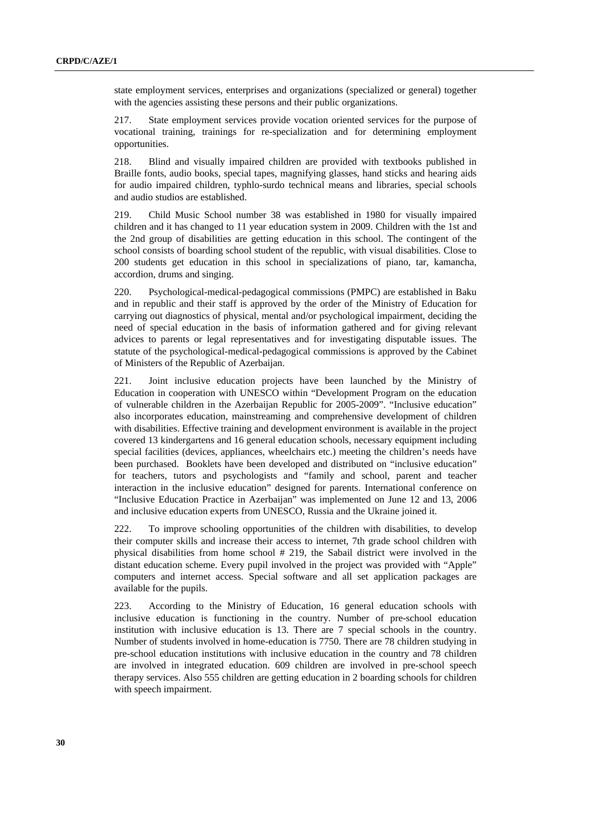state employment services, enterprises and organizations (specialized or general) together with the agencies assisting these persons and their public organizations.

217. State employment services provide vocation oriented services for the purpose of vocational training, trainings for re-specialization and for determining employment opportunities.

218. Blind and visually impaired children are provided with textbooks published in Braille fonts, audio books, special tapes, magnifying glasses, hand sticks and hearing aids for audio impaired children, typhlo-surdo technical means and libraries, special schools and audio studios are established.

219. Child Music School number 38 was established in 1980 for visually impaired children and it has changed to 11 year education system in 2009. Children with the 1st and the 2nd group of disabilities are getting education in this school. The contingent of the school consists of boarding school student of the republic, with visual disabilities. Close to 200 students get education in this school in specializations of piano, tar, kamancha, accordion, drums and singing.

220. Psychological-medical-pedagogical commissions (PMPC) are established in Baku and in republic and their staff is approved by the order of the Ministry of Education for carrying out diagnostics of physical, mental and/or psychological impairment, deciding the need of special education in the basis of information gathered and for giving relevant advices to parents or legal representatives and for investigating disputable issues. The statute of the psychological-medical-pedagogical commissions is approved by the Cabinet of Ministers of the Republic of Azerbaijan.

221. Joint inclusive education projects have been launched by the Ministry of Education in cooperation with UNESCO within "Development Program on the education of vulnerable children in the Azerbaijan Republic for 2005-2009". "Inclusive education" also incorporates education, mainstreaming and comprehensive development of children with disabilities. Effective training and development environment is available in the project covered 13 kindergartens and 16 general education schools, necessary equipment including special facilities (devices, appliances, wheelchairs etc.) meeting the children's needs have been purchased. Booklets have been developed and distributed on "inclusive education" for teachers, tutors and psychologists and "family and school, parent and teacher interaction in the inclusive education" designed for parents. International conference on "Inclusive Education Practice in Azerbaijan" was implemented on June 12 and 13, 2006 and inclusive education experts from UNESCO, Russia and the Ukraine joined it.

222. To improve schooling opportunities of the children with disabilities, to develop their computer skills and increase their access to internet, 7th grade school children with physical disabilities from home school # 219, the Sabail district were involved in the distant education scheme. Every pupil involved in the project was provided with "Apple" computers and internet access. Special software and all set application packages are available for the pupils.

223. According to the Ministry of Education, 16 general education schools with inclusive education is functioning in the country. Number of pre-school education institution with inclusive education is 13. There are 7 special schools in the country. Number of students involved in home-education is 7750. There are 78 children studying in pre-school education institutions with inclusive education in the country and 78 children are involved in integrated education. 609 children are involved in pre-school speech therapy services. Also 555 children are getting education in 2 boarding schools for children with speech impairment.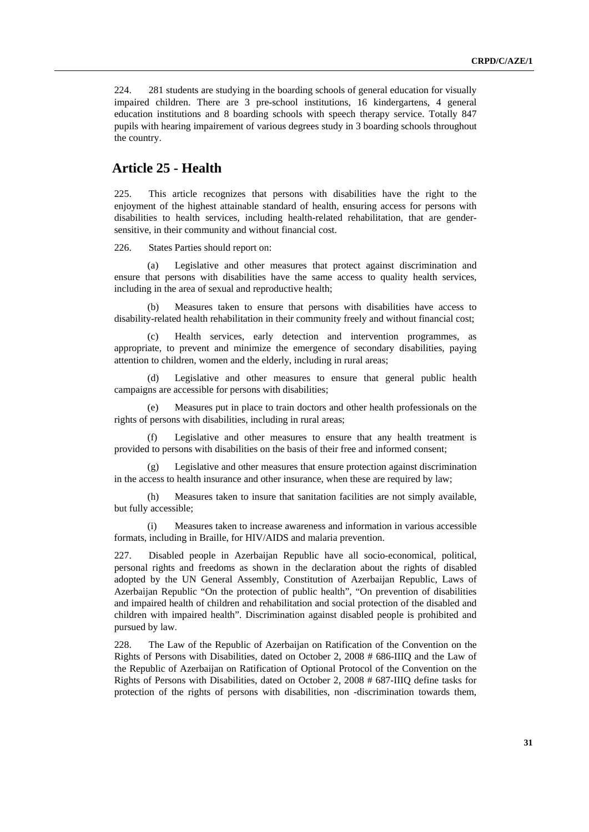<span id="page-30-0"></span>224. 281 students are studying in the boarding schools of general education for visually impaired children. There are 3 pre-school institutions, 16 kindergartens, 4 general education institutions and 8 boarding schools with speech therapy service. Totally 847 pupils with hearing impairement of various degrees study in 3 boarding schools throughout the country.

#### **Article 25 - Health**

225. This article recognizes that persons with disabilities have the right to the enjoyment of the highest attainable standard of health, ensuring access for persons with disabilities to health services, including health-related rehabilitation, that are gendersensitive, in their community and without financial cost.

226. States Parties should report on:

Legislative and other measures that protect against discrimination and ensure that persons with disabilities have the same access to quality health services, including in the area of sexual and reproductive health;

Measures taken to ensure that persons with disabilities have access to disability-related health rehabilitation in their community freely and without financial cost;

(c) Health services, early detection and intervention programmes, as appropriate, to prevent and minimize the emergence of secondary disabilities, paying attention to children, women and the elderly, including in rural areas;

(d) Legislative and other measures to ensure that general public health campaigns are accessible for persons with disabilities;

(e) Measures put in place to train doctors and other health professionals on the rights of persons with disabilities, including in rural areas;

Legislative and other measures to ensure that any health treatment is provided to persons with disabilities on the basis of their free and informed consent;

(g) Legislative and other measures that ensure protection against discrimination in the access to health insurance and other insurance, when these are required by law;

(h) Measures taken to insure that sanitation facilities are not simply available, but fully accessible;

Measures taken to increase awareness and information in various accessible formats, including in Braille, for HIV/AIDS and malaria prevention.

227. Disabled people in Azerbaijan Republic have all socio-economical, political, personal rights and freedoms as shown in the declaration about the rights of disabled adopted by the UN General Assembly, Constitution of Azerbaijan Republic, Laws of Azerbaijan Republic "On the protection of public health", "On prevention of disabilities and impaired health of children and rehabilitation and social protection of the disabled and children with impaired health". Discrimination against disabled people is prohibited and pursued by law.

228. The Law of the Republic of Azerbaijan on Ratification of the Convention on the Rights of Persons with Disabilities, dated on October 2, 2008 # 686-IIIQ and the Law of the Republic of Azerbaijan on Ratification of Optional Protocol of the Convention on the Rights of Persons with Disabilities, dated on October 2, 2008 # 687-IIIQ define tasks for protection of the rights of persons with disabilities, non -discrimination towards them,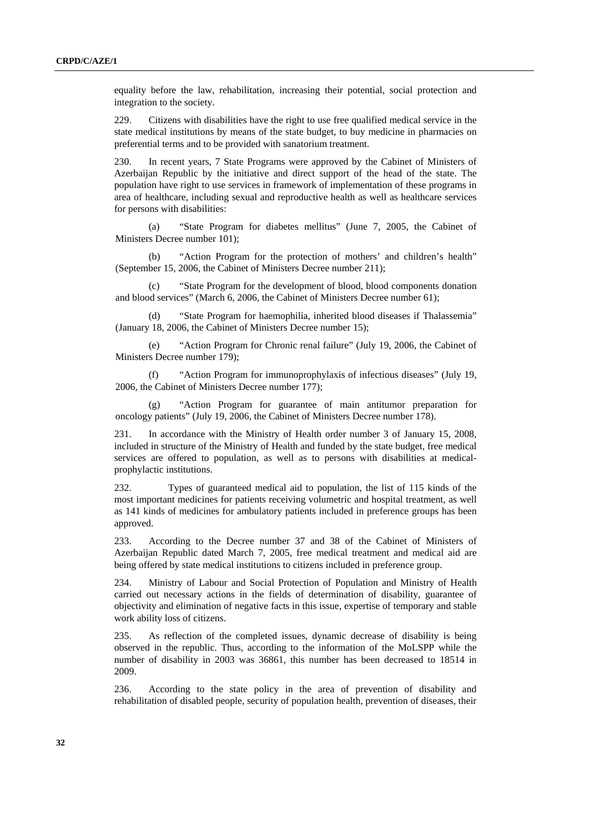equality before the law, rehabilitation, increasing their potential, social protection and integration to the society.

229. Citizens with disabilities have the right to use free qualified medical service in the state medical institutions by means of the state budget, to buy medicine in pharmacies on preferential terms and to be provided with sanatorium treatment.

230. In recent years, 7 State Programs were approved by the Cabinet of Ministers of Azerbaijan Republic by the initiative and direct support of the head of the state. The population have right to use services in framework of implementation of these programs in area of healthcare, including sexual and reproductive health as well as healthcare services for persons with disabilities:

(a) "State Program for diabetes mellitus" (June 7, 2005, the Cabinet of Ministers Decree number 101);

(b) "Action Program for the protection of mothers' and children's health" (September 15, 2006, the Cabinet of Ministers Decree number 211);

(c) "State Program for the development of blood, blood components donation and blood services" (March 6, 2006, the Cabinet of Ministers Decree number 61);

(d) "State Program for haemophilia, inherited blood diseases if Thalassemia" (January 18, 2006, the Cabinet of Ministers Decree number 15);

(e) "Action Program for Chronic renal failure" (July 19, 2006, the Cabinet of Ministers Decree number 179);

(f) "Action Program for immunoprophylaxis of infectious diseases" (July 19, 2006, the Cabinet of Ministers Decree number 177);

(g) "Action Program for guarantee of main antitumor preparation for oncology patients" (July 19, 2006, the Cabinet of Ministers Decree number 178).

231. In accordance with the Ministry of Health order number 3 of January 15, 2008, included in structure of the Ministry of Health and funded by the state budget, free medical services are offered to population, as well as to persons with disabilities at medicalprophylactic institutions.

232. Types of guaranteed medical aid to population, the list of 115 kinds of the most important medicines for patients receiving volumetric and hospital treatment, as well as 141 kinds of medicines for ambulatory patients included in preference groups has been approved.

233. According to the Decree number 37 and 38 of the Cabinet of Ministers of Azerbaijan Republic dated March 7, 2005, free medical treatment and medical aid are being offered by state medical institutions to citizens included in preference group.

234. Ministry of Labour and Social Protection of Population and Ministry of Health carried out necessary actions in the fields of determination of disability, guarantee of objectivity and elimination of negative facts in this issue, expertise of temporary and stable work ability loss of citizens.

235. As reflection of the completed issues, dynamic decrease of disability is being observed in the republic. Thus, according to the information of the MoLSPP while the number of disability in 2003 was 36861, this number has been decreased to 18514 in 2009.

236. According to the state policy in the area of prevention of disability and rehabilitation of disabled people, security of population health, prevention of diseases, their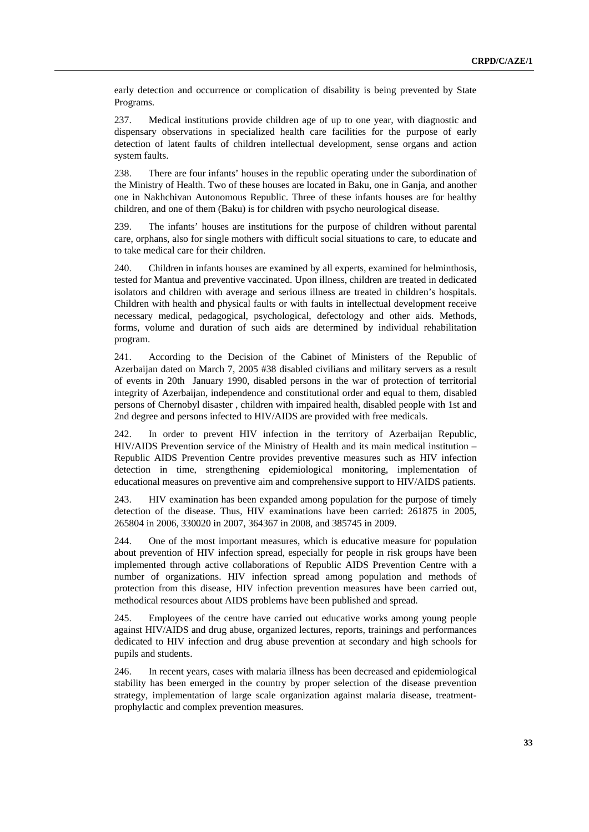early detection and occurrence or complication of disability is being prevented by State Programs.

237. Medical institutions provide children age of up to one year, with diagnostic and dispensary observations in specialized health care facilities for the purpose of early detection of latent faults of children intellectual development, sense organs and action system faults.

238. There are four infants' houses in the republic operating under the subordination of the Ministry of Health. Two of these houses are located in Baku, one in Ganja, and another one in Nakhchivan Autonomous Republic. Three of these infants houses are for healthy children, and one of them (Baku) is for children with psycho neurological disease.

239. The infants' houses are institutions for the purpose of children without parental care, orphans, also for single mothers with difficult social situations to care, to educate and to take medical care for their children.

240. Children in infants houses are examined by all experts, examined for helminthosis, tested for Mantua and preventive vaccinated. Upon illness, children are treated in dedicated isolators and children with average and serious illness are treated in children's hospitals. Children with health and physical faults or with faults in intellectual development receive necessary medical, pedagogical, psychological, defectology and other aids. Methods, forms, volume and duration of such aids are determined by individual rehabilitation program.

241. According to the Decision of the Cabinet of Ministers of the Republic of Azerbaijan dated on March 7, 2005 #38 disabled civilians and military servers as a result of events in 20th January 1990, disabled persons in the war of protection of territorial integrity of Azerbaijan, independence and constitutional order and equal to them, disabled persons of Chernobyl disaster , children with impaired health, disabled people with 1st and 2nd degree and persons infected to HIV/AIDS are provided with free medicals.

242. In order to prevent HIV infection in the territory of Azerbaijan Republic, HIV/AIDS Prevention service of the Ministry of Health and its main medical institution – Republic AIDS Prevention Centre provides preventive measures such as HIV infection detection in time, strengthening epidemiological monitoring, implementation of educational measures on preventive aim and comprehensive support to HIV/AIDS patients.

243. HIV examination has been expanded among population for the purpose of timely detection of the disease. Thus, HIV examinations have been carried: 261875 in 2005, 265804 in 2006, 330020 in 2007, 364367 in 2008, and 385745 in 2009.

244. One of the most important measures, which is educative measure for population about prevention of HIV infection spread, especially for people in risk groups have been implemented through active collaborations of Republic AIDS Prevention Centre with a number of organizations. HIV infection spread among population and methods of protection from this disease, HIV infection prevention measures have been carried out, methodical resources about AIDS problems have been published and spread.

245. Employees of the centre have carried out educative works among young people against HIV/AIDS and drug abuse, organized lectures, reports, trainings and performances dedicated to HIV infection and drug abuse prevention at secondary and high schools for pupils and students.

246. In recent years, cases with malaria illness has been decreased and epidemiological stability has been emerged in the country by proper selection of the disease prevention strategy, implementation of large scale organization against malaria disease, treatmentprophylactic and complex prevention measures.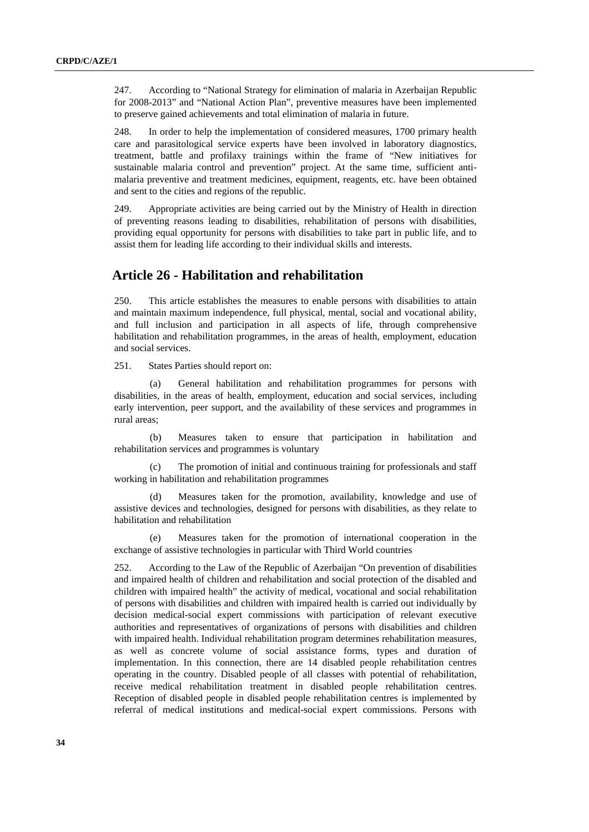<span id="page-33-0"></span>247. According to "National Strategy for elimination of malaria in Azerbaijan Republic for 2008-2013" and "National Action Plan", preventive measures have been implemented to preserve gained achievements and total elimination of malaria in future.

248. In order to help the implementation of considered measures, 1700 primary health care and parasitological service experts have been involved in laboratory diagnostics, treatment, battle and profilaxy trainings within the frame of "New initiatives for sustainable malaria control and prevention" project. At the same time, sufficient antimalaria preventive and treatment medicines, equipment, reagents, etc. have been obtained and sent to the cities and regions of the republic.

249. Appropriate activities are being carried out by the Ministry of Health in direction of preventing reasons leading to disabilities, rehabilitation of persons with disabilities, providing equal opportunity for persons with disabilities to take part in public life, and to assist them for leading life according to their individual skills and interests.

# **Article 26 - Habilitation and rehabilitation**

250. This article establishes the measures to enable persons with disabilities to attain and maintain maximum independence, full physical, mental, social and vocational ability, and full inclusion and participation in all aspects of life, through comprehensive habilitation and rehabilitation programmes, in the areas of health, employment, education and social services.

251. States Parties should report on:

(a) General habilitation and rehabilitation programmes for persons with disabilities, in the areas of health, employment, education and social services, including early intervention, peer support, and the availability of these services and programmes in rural areas;

(b) Measures taken to ensure that participation in habilitation and rehabilitation services and programmes is voluntary

(c) The promotion of initial and continuous training for professionals and staff working in habilitation and rehabilitation programmes

(d) Measures taken for the promotion, availability, knowledge and use of assistive devices and technologies, designed for persons with disabilities, as they relate to habilitation and rehabilitation

(e) Measures taken for the promotion of international cooperation in the exchange of assistive technologies in particular with Third World countries

252. According to the Law of the Republic of Azerbaijan "On prevention of disabilities and impaired health of children and rehabilitation and social protection of the disabled and children with impaired health" the activity of medical, vocational and social rehabilitation of persons with disabilities and children with impaired health is carried out individually by decision medical-social expert commissions with participation of relevant executive authorities and representatives of organizations of persons with disabilities and children with impaired health. Individual rehabilitation program determines rehabilitation measures, as well as concrete volume of social assistance forms, types and duration of implementation. In this connection, there are 14 disabled people rehabilitation centres operating in the country. Disabled people of all classes with potential of rehabilitation, receive medical rehabilitation treatment in disabled people rehabilitation centres. Reception of disabled people in disabled people rehabilitation centres is implemented by referral of medical institutions and medical-social expert commissions. Persons with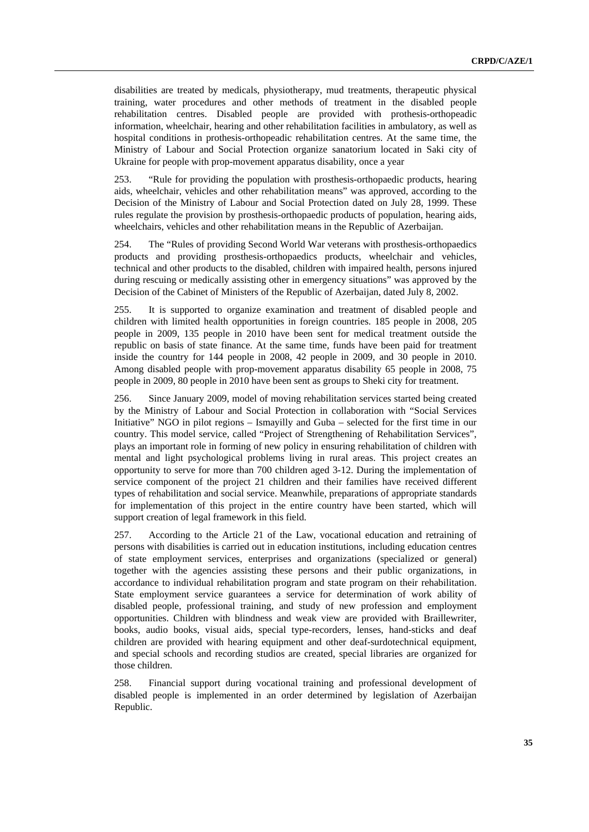disabilities are treated by medicals, physiotherapy, mud treatments, therapeutic physical training, water procedures and other methods of treatment in the disabled people rehabilitation centres. Disabled people are provided with prothesis-orthopeadic information, wheelchair, hearing and other rehabilitation facilities in ambulatory, as well as hospital conditions in prothesis-orthopeadic rehabilitation centres. At the same time, the Ministry of Labour and Social Protection organize sanatorium located in Saki city of Ukraine for people with prop-movement apparatus disability, once a year

253. "Rule for providing the population with prosthesis-orthopaedic products, hearing aids, wheelchair, vehicles and other rehabilitation means" was approved, according to the Decision of the Ministry of Labour and Social Protection dated on July 28, 1999. These rules regulate the provision by prosthesis-orthopaedic products of population, hearing aids, wheelchairs, vehicles and other rehabilitation means in the Republic of Azerbaijan.

254. The "Rules of providing Second World War veterans with prosthesis-orthopaedics products and providing prosthesis-orthopaedics products, wheelchair and vehicles, technical and other products to the disabled, children with impaired health, persons injured during rescuing or medically assisting other in emergency situations" was approved by the Decision of the Cabinet of Ministers of the Republic of Azerbaijan, dated July 8, 2002.

255. It is supported to organize examination and treatment of disabled people and children with limited health opportunities in foreign countries. 185 people in 2008, 205 people in 2009, 135 people in 2010 have been sent for medical treatment outside the republic on basis of state finance. At the same time, funds have been paid for treatment inside the country for 144 people in 2008, 42 people in 2009, and 30 people in 2010. Among disabled people with prop-movement apparatus disability 65 people in 2008, 75 people in 2009, 80 people in 2010 have been sent as groups to Sheki city for treatment.

256. Since January 2009, model of moving rehabilitation services started being created by the Ministry of Labour and Social Protection in collaboration with "Social Services Initiative" NGO in pilot regions – Ismayilly and Guba – selected for the first time in our country. This model service, called "Project of Strengthening of Rehabilitation Services", plays an important role in forming of new policy in ensuring rehabilitation of children with mental and light psychological problems living in rural areas. This project creates an opportunity to serve for more than 700 children aged 3-12. During the implementation of service component of the project 21 children and their families have received different types of rehabilitation and social service. Meanwhile, preparations of appropriate standards for implementation of this project in the entire country have been started, which will support creation of legal framework in this field.

257. According to the Article 21 of the Law, vocational education and retraining of persons with disabilities is carried out in education institutions, including education centres of state employment services, enterprises and organizations (specialized or general) together with the agencies assisting these persons and their public organizations, in accordance to individual rehabilitation program and state program on their rehabilitation. State employment service guarantees a service for determination of work ability of disabled people, professional training, and study of new profession and employment opportunities. Children with blindness and weak view are provided with Braillewriter, books, audio books, visual aids, special type-recorders, lenses, hand-sticks and deaf children are provided with hearing equipment and other deaf-surdotechnical equipment, and special schools and recording studios are created, special libraries are organized for those children.

258. Financial support during vocational training and professional development of disabled people is implemented in an order determined by legislation of Azerbaijan Republic.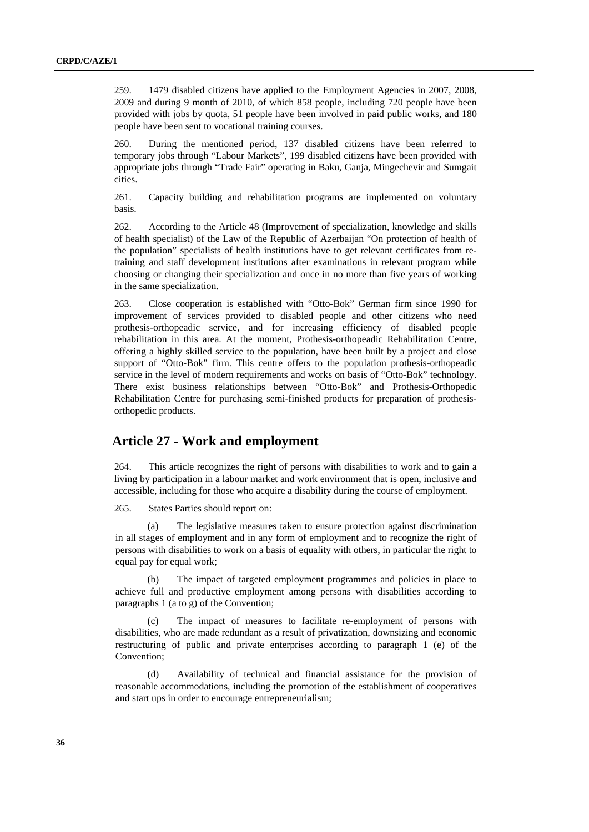<span id="page-35-0"></span>259. 1479 disabled citizens have applied to the Employment Agencies in 2007, 2008, 2009 and during 9 month of 2010, of which 858 people, including 720 people have been provided with jobs by quota, 51 people have been involved in paid public works, and 180 people have been sent to vocational training courses.

260. During the mentioned period, 137 disabled citizens have been referred to temporary jobs through "Labour Markets", 199 disabled citizens have been provided with appropriate jobs through "Trade Fair" operating in Baku, Ganja, Mingechevir and Sumgait cities.

261. Capacity building and rehabilitation programs are implemented on voluntary basis.

262. According to the Article 48 (Improvement of specialization, knowledge and skills of health specialist) of the Law of the Republic of Azerbaijan "On protection of health of the population" specialists of health institutions have to get relevant certificates from retraining and staff development institutions after examinations in relevant program while choosing or changing their specialization and once in no more than five years of working in the same specialization.

263. Close cooperation is established with "Otto-Bok" German firm since 1990 for improvement of services provided to disabled people and other citizens who need prothesis-orthopeadic service, and for increasing efficiency of disabled people rehabilitation in this area. At the moment, Prothesis-orthopeadic Rehabilitation Centre, offering a highly skilled service to the population, have been built by a project and close support of "Otto-Bok" firm. This centre offers to the population prothesis-orthopeadic service in the level of modern requirements and works on basis of "Otto-Bok" technology. There exist business relationships between "Otto-Bok" and Prothesis-Orthopedic Rehabilitation Centre for purchasing semi-finished products for preparation of prothesisorthopedic products.

#### **Article 27 - Work and employment**

264. This article recognizes the right of persons with disabilities to work and to gain a living by participation in a labour market and work environment that is open, inclusive and accessible, including for those who acquire a disability during the course of employment.

265. States Parties should report on:

The legislative measures taken to ensure protection against discrimination in all stages of employment and in any form of employment and to recognize the right of persons with disabilities to work on a basis of equality with others, in particular the right to equal pay for equal work;

(b) The impact of targeted employment programmes and policies in place to achieve full and productive employment among persons with disabilities according to paragraphs 1 (a to g) of the Convention;

(c) The impact of measures to facilitate re-employment of persons with disabilities, who are made redundant as a result of privatization, downsizing and economic restructuring of public and private enterprises according to paragraph 1 (e) of the Convention;

(d) Availability of technical and financial assistance for the provision of reasonable accommodations, including the promotion of the establishment of cooperatives and start ups in order to encourage entrepreneurialism;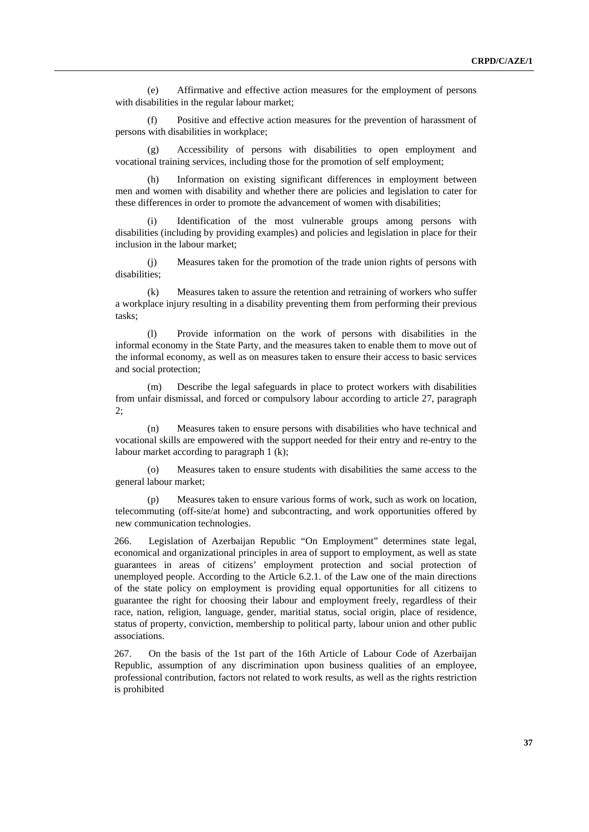(e) Affirmative and effective action measures for the employment of persons with disabilities in the regular labour market;

(f) Positive and effective action measures for the prevention of harassment of persons with disabilities in workplace;

(g) Accessibility of persons with disabilities to open employment and vocational training services, including those for the promotion of self employment;

(h) Information on existing significant differences in employment between men and women with disability and whether there are policies and legislation to cater for these differences in order to promote the advancement of women with disabilities;

Identification of the most vulnerable groups among persons with disabilities (including by providing examples) and policies and legislation in place for their inclusion in the labour market;

(j) Measures taken for the promotion of the trade union rights of persons with disabilities;

(k) Measures taken to assure the retention and retraining of workers who suffer a workplace injury resulting in a disability preventing them from performing their previous tasks;

(l) Provide information on the work of persons with disabilities in the informal economy in the State Party, and the measures taken to enable them to move out of the informal economy, as well as on measures taken to ensure their access to basic services and social protection;

(m) Describe the legal safeguards in place to protect workers with disabilities from unfair dismissal, and forced or compulsory labour according to article 27, paragraph 2;

(n) Measures taken to ensure persons with disabilities who have technical and vocational skills are empowered with the support needed for their entry and re-entry to the labour market according to paragraph 1 (k);

(o) Measures taken to ensure students with disabilities the same access to the general labour market;

(p) Measures taken to ensure various forms of work, such as work on location, telecommuting (off-site/at home) and subcontracting, and work opportunities offered by new communication technologies.

266. Legislation of Azerbaijan Republic "On Employment" determines state legal, economical and organizational principles in area of support to employment, as well as state guarantees in areas of citizens' employment protection and social protection of unemployed people. According to the Article 6.2.1. of the Law one of the main directions of the state policy on employment is providing equal opportunities for all citizens to guarantee the right for choosing their labour and employment freely, regardless of their race, nation, religion, language, gender, maritial status, social origin, place of residence, status of property, conviction, membership to political party, labour union and other public associations.

267. On the basis of the 1st part of the 16th Article of Labour Code of Azerbaijan Republic, assumption of any discrimination upon business qualities of an employee, professional contribution, factors not related to work results, as well as the rights restriction is prohibited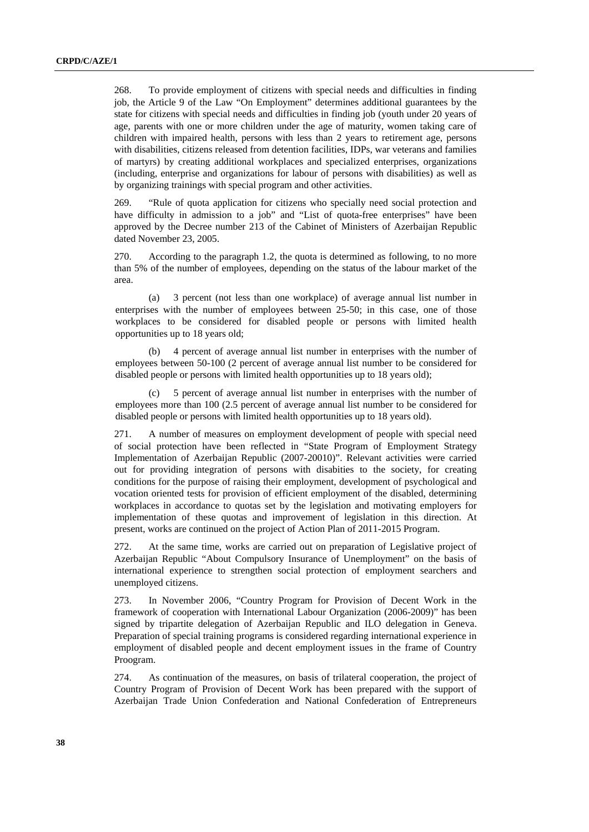268. To provide employment of citizens with special needs and difficulties in finding job, the Article 9 of the Law "On Employment" determines additional guarantees by the state for citizens with special needs and difficulties in finding job (youth under 20 years of age, parents with one or more children under the age of maturity, women taking care of children with impaired health, persons with less than 2 years to retirement age, persons with disabilities, citizens released from detention facilities, IDPs, war veterans and families of martyrs) by creating additional workplaces and specialized enterprises, organizations (including, enterprise and organizations for labour of persons with disabilities) as well as by organizing trainings with special program and other activities.

269. "Rule of quota application for citizens who specially need social protection and have difficulty in admission to a job" and "List of quota-free enterprises" have been approved by the Decree number 213 of the Cabinet of Ministers of Azerbaijan Republic dated November 23, 2005.

270. According to the paragraph 1.2, the quota is determined as following, to no more than 5% of the number of employees, depending on the status of the labour market of the area.

(a) 3 percent (not less than one workplace) of average annual list number in enterprises with the number of employees between 25-50; in this case, one of those workplaces to be considered for disabled people or persons with limited health opportunities up to 18 years old;

(b) 4 percent of average annual list number in enterprises with the number of employees between 50-100 (2 percent of average annual list number to be considered for disabled people or persons with limited health opportunities up to 18 years old);

5 percent of average annual list number in enterprises with the number of employees more than 100 (2.5 percent of average annual list number to be considered for disabled people or persons with limited health opportunities up to 18 years old).

271. A number of measures on employment development of people with special need of social protection have been reflected in "State Program of Employment Strategy Implementation of Azerbaijan Republic (2007-20010)". Relevant activities were carried out for providing integration of persons with disabities to the society, for creating conditions for the purpose of raising their employment, development of psychological and vocation oriented tests for provision of efficient employment of the disabled, determining workplaces in accordance to quotas set by the legislation and motivating employers for implementation of these quotas and improvement of legislation in this direction. At present, works are continued on the project of Action Plan of 2011-2015 Program.

272. At the same time, works are carried out on preparation of Legislative project of Azerbaijan Republic "About Compulsory Insurance of Unemployment" on the basis of international experience to strengthen social protection of employment searchers and unemployed citizens.

273. In November 2006, "Country Program for Provision of Decent Work in the framework of cooperation with International Labour Organization (2006-2009)" has been signed by tripartite delegation of Azerbaijan Republic and ILO delegation in Geneva. Preparation of special training programs is considered regarding international experience in employment of disabled people and decent employment issues in the frame of Country Proogram.

274. As continuation of the measures, on basis of trilateral cooperation, the project of Country Program of Provision of Decent Work has been prepared with the support of Azerbaijan Trade Union Confederation and National Confederation of Entrepreneurs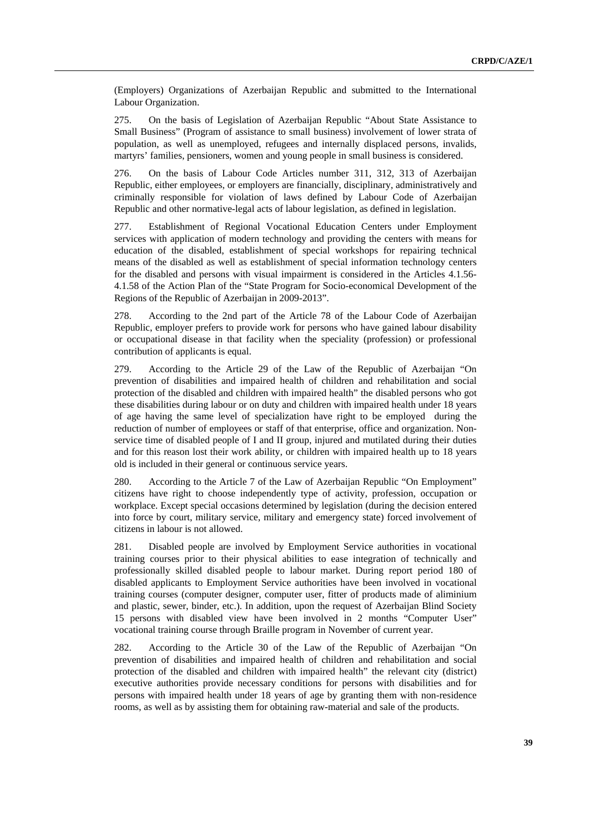(Employers) Organizations of Azerbaijan Republic and submitted to the International Labour Organization.

275. On the basis of Legislation of Azerbaijan Republic "About State Assistance to Small Business" (Program of assistance to small business) involvement of lower strata of population, as well as unemployed, refugees and internally displaced persons, invalids, martyrs' families, pensioners, women and young people in small business is considered.

276. On the basis of Labour Code Articles number 311, 312, 313 of Azerbaijan Republic, either employees, or employers are financially, disciplinary, administratively and criminally responsible for violation of laws defined by Labour Code of Azerbaijan Republic and other normative-legal acts of labour legislation, as defined in legislation.

277. Establishment of Regional Vocational Education Centers under Employment services with application of modern technology and providing the centers with means for education of the disabled, establishment of special workshops for repairing technical means of the disabled as well as establishment of special information technology centers for the disabled and persons with visual impairment is considered in the Articles 4.1.56- 4.1.58 of the Action Plan of the "State Program for Socio-economical Development of the Regions of the Republic of Azerbaijan in 2009-2013".

278. According to the 2nd part of the Article 78 of the Labour Code of Azerbaijan Republic, employer prefers to provide work for persons who have gained labour disability or occupational disease in that facility when the speciality (profession) or professional contribution of applicants is equal.

279. According to the Article 29 of the Law of the Republic of Azerbaijan "On prevention of disabilities and impaired health of children and rehabilitation and social protection of the disabled and children with impaired health" the disabled persons who got these disabilities during labour or on duty and children with impaired health under 18 years of age having the same level of specialization have right to be employed during the reduction of number of employees or staff of that enterprise, office and organization. Nonservice time of disabled people of I and II group, injured and mutilated during their duties and for this reason lost their work ability, or children with impaired health up to 18 years old is included in their general or continuous service years.

280. According to the Article 7 of the Law of Azerbaijan Republic "On Employment" citizens have right to choose independently type of activity, profession, occupation or workplace. Except special occasions determined by legislation (during the decision entered into force by court, military service, military and emergency state) forced involvement of citizens in labour is not allowed.

281. Disabled people are involved by Employment Service authorities in vocational training courses prior to their physical abilities to ease integration of technically and professionally skilled disabled people to labour market. During report period 180 of disabled applicants to Employment Service authorities have been involved in vocational training courses (computer designer, computer user, fitter of products made of aliminium and plastic, sewer, binder, etc.). In addition, upon the request of Azerbaijan Blind Society 15 persons with disabled view have been involved in 2 months "Computer User" vocational training course through Braille program in November of current year.

282. According to the Article 30 of the Law of the Republic of Azerbaijan "On prevention of disabilities and impaired health of children and rehabilitation and social protection of the disabled and children with impaired health" the relevant city (district) executive authorities provide necessary conditions for persons with disabilities and for persons with impaired health under 18 years of age by granting them with non-residence rooms, as well as by assisting them for obtaining raw-material and sale of the products.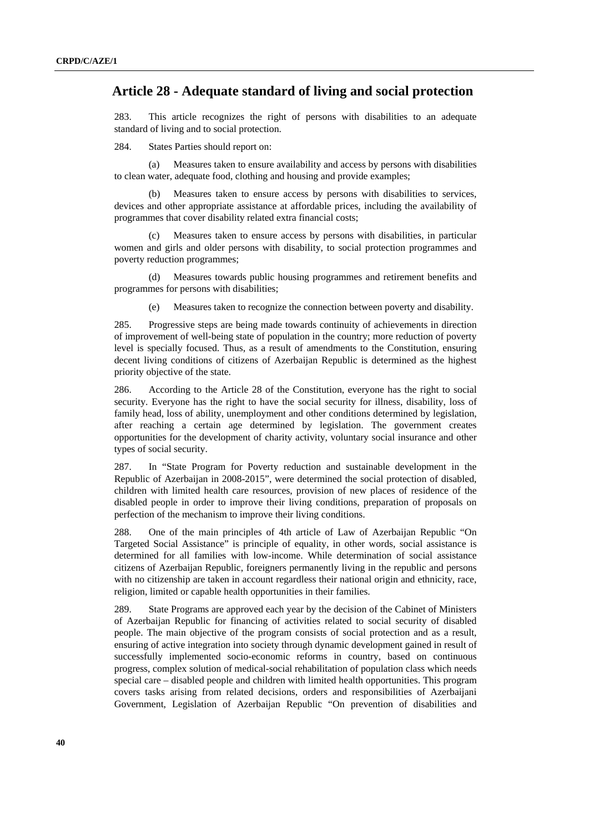#### <span id="page-39-0"></span> **Article 28 - Adequate standard of living and social protection**

283. This article recognizes the right of persons with disabilities to an adequate standard of living and to social protection.

284. States Parties should report on:

(a) Measures taken to ensure availability and access by persons with disabilities to clean water, adequate food, clothing and housing and provide examples;

Measures taken to ensure access by persons with disabilities to services, devices and other appropriate assistance at affordable prices, including the availability of programmes that cover disability related extra financial costs;

Measures taken to ensure access by persons with disabilities, in particular women and girls and older persons with disability, to social protection programmes and poverty reduction programmes;

(d) Measures towards public housing programmes and retirement benefits and programmes for persons with disabilities;

(e) Measures taken to recognize the connection between poverty and disability.

285. Progressive steps are being made towards continuity of achievements in direction of improvement of well-being state of population in the country; more reduction of poverty level is specially focused. Thus, as a result of amendments to the Constitution, ensuring decent living conditions of citizens of Azerbaijan Republic is determined as the highest priority objective of the state.

286. According to the Article 28 of the Constitution, everyone has the right to social security. Everyone has the right to have the social security for illness, disability, loss of family head, loss of ability, unemployment and other conditions determined by legislation, after reaching a certain age determined by legislation. The government creates opportunities for the development of charity activity, voluntary social insurance and other types of social security.

287. In "State Program for Poverty reduction and sustainable development in the Republic of Azerbaijan in 2008-2015", were determined the social protection of disabled, children with limited health care resources, provision of new places of residence of the disabled people in order to improve their living conditions, preparation of proposals on perfection of the mechanism to improve their living conditions.

288. One of the main principles of 4th article of Law of Azerbaijan Republic "On Targeted Social Assistance" is principle of equality, in other words, social assistance is determined for all families with low-income. While determination of social assistance citizens of Azerbaijan Republic, foreigners permanently living in the republic and persons with no citizenship are taken in account regardless their national origin and ethnicity, race, religion, limited or capable health opportunities in their families.

289. State Programs are approved each year by the decision of the Cabinet of Ministers of Azerbaijan Republic for financing of activities related to social security of disabled people. The main objective of the program consists of social protection and as a result, ensuring of active integration into society through dynamic development gained in result of successfully implemented socio-economic reforms in country, based on continuous progress, complex solution of medical-social rehabilitation of population class which needs special care – disabled people and children with limited health opportunities. This program covers tasks arising from related decisions, orders and responsibilities of Azerbaijani Government, Legislation of Azerbaijan Republic "On prevention of disabilities and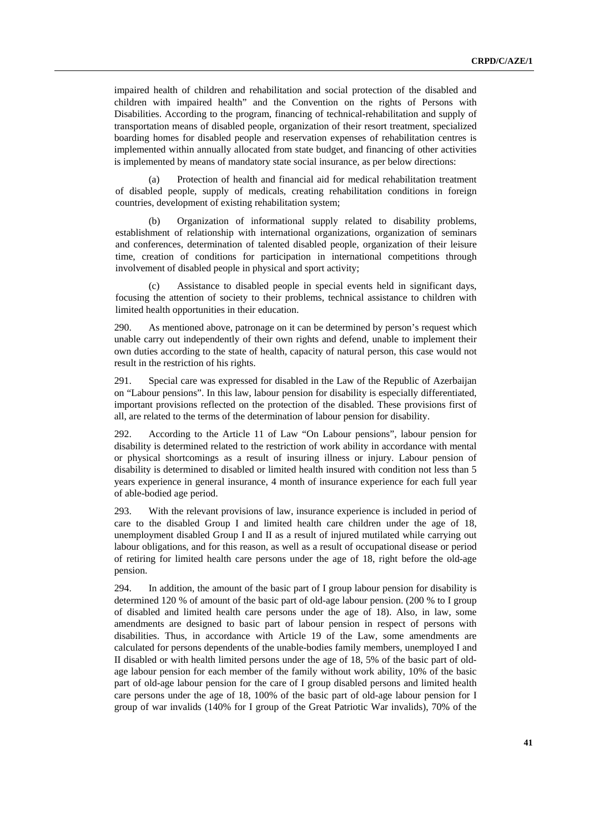impaired health of children and rehabilitation and social protection of the disabled and children with impaired health" and the Convention on the rights of Persons with Disabilities. According to the program, financing of technical-rehabilitation and supply of transportation means of disabled people, organization of their resort treatment, specialized boarding homes for disabled people and reservation expenses of rehabilitation centres is implemented within annually allocated from state budget, and financing of other activities is implemented by means of mandatory state social insurance, as per below directions:

(a) Protection of health and financial aid for medical rehabilitation treatment of disabled people, supply of medicals, creating rehabilitation conditions in foreign countries, development of existing rehabilitation system;

(b) Organization of informational supply related to disability problems, establishment of relationship with international organizations, organization of seminars and conferences, determination of talented disabled people, organization of their leisure time, creation of conditions for participation in international competitions through involvement of disabled people in physical and sport activity;

Assistance to disabled people in special events held in significant days, focusing the attention of society to their problems, technical assistance to children with limited health opportunities in their education.

290. As mentioned above, patronage on it can be determined by person's request which unable carry out independently of their own rights and defend, unable to implement their own duties according to the state of health, capacity of natural person, this case would not result in the restriction of his rights.

291. Special care was expressed for disabled in the Law of the Republic of Azerbaijan on "Labour pensions". In this law, labour pension for disability is especially differentiated, important provisions reflected on the protection of the disabled. These provisions first of all, are related to the terms of the determination of labour pension for disability.

292. According to the Article 11 of Law "On Labour pensions", labour pension for disability is determined related to the restriction of work ability in accordance with mental or physical shortcomings as a result of insuring illness or injury. Labour pension of disability is determined to disabled or limited health insured with condition not less than 5 years experience in general insurance, 4 month of insurance experience for each full year of able-bodied age period.

293. With the relevant provisions of law, insurance experience is included in period of care to the disabled Group I and limited health care children under the age of 18, unemployment disabled Group I and II as a result of injured mutilated while carrying out labour obligations, and for this reason, as well as a result of occupational disease or period of retiring for limited health care persons under the age of 18, right before the old-age pension.

294. In addition, the amount of the basic part of I group labour pension for disability is determined 120 % of amount of the basic part of old-age labour pension. (200 % to I group of disabled and limited health care persons under the age of 18). Also, in law, some amendments are designed to basic part of labour pension in respect of persons with disabilities. Thus, in accordance with Article 19 of the Law, some amendments are calculated for persons dependents of the unable-bodies family members, unemployed I and II disabled or with health limited persons under the age of 18, 5% of the basic part of oldage labour pension for each member of the family without work ability, 10% of the basic part of old-age labour pension for the care of I group disabled persons and limited health care persons under the age of 18, 100% of the basic part of old-age labour pension for I group of war invalids (140% for I group of the Great Patriotic War invalids), 70% of the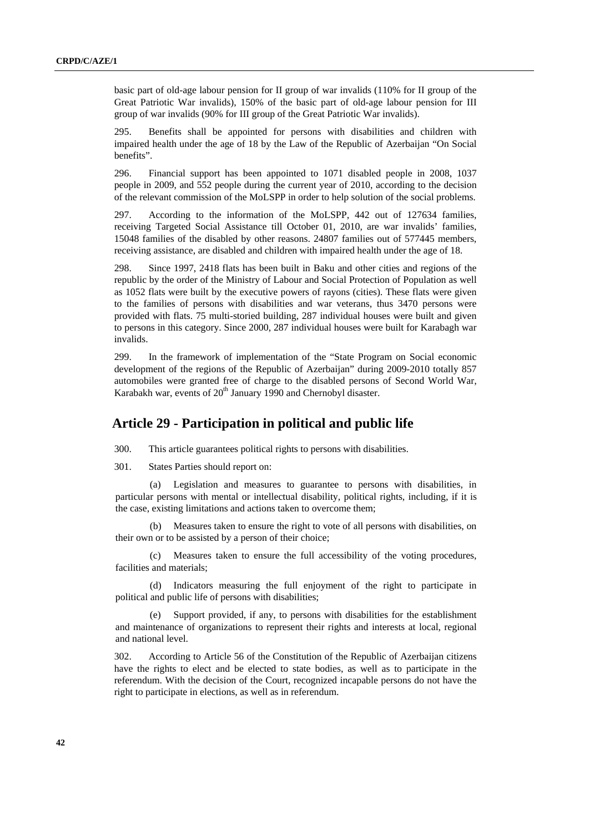<span id="page-41-0"></span>basic part of old-age labour pension for II group of war invalids (110% for II group of the Great Patriotic War invalids), 150% of the basic part of old-age labour pension for III group of war invalids (90% for III group of the Great Patriotic War invalids).

295. Benefits shall be appointed for persons with disabilities and children with impaired health under the age of 18 by the Law of the Republic of Azerbaijan "On Social benefits".

296. Financial support has been appointed to 1071 disabled people in 2008, 1037 people in 2009, and 552 people during the current year of 2010, according to the decision of the relevant commission of the MoLSPP in order to help solution of the social problems.

297. According to the information of the MoLSPP, 442 out of 127634 families, receiving Targeted Social Assistance till October 01, 2010, are war invalids' families, 15048 families of the disabled by other reasons. 24807 families out of 577445 members, receiving assistance, are disabled and children with impaired health under the age of 18.

298. Since 1997, 2418 flats has been built in Baku and other cities and regions of the republic by the order of the Ministry of Labour and Social Protection of Population as well as 1052 flats were built by the executive powers of rayons (cities). These flats were given to the families of persons with disabilities and war veterans, thus 3470 persons were provided with flats. 75 multi-storied building, 287 individual houses were built and given to persons in this category. Since 2000, 287 individual houses were built for Karabagh war invalids.

299. In the framework of implementation of the "State Program on Social economic development of the regions of the Republic of Azerbaijan" during 2009-2010 totally 857 automobiles were granted free of charge to the disabled persons of Second World War, Karabakh war, events of 20<sup>th</sup> January 1990 and Chernobyl disaster.

## **Article 29 - Participation in political and public life**

300. This article guarantees political rights to persons with disabilities.

301. States Parties should report on:

Legislation and measures to guarantee to persons with disabilities, in particular persons with mental or intellectual disability, political rights, including, if it is the case, existing limitations and actions taken to overcome them;

Measures taken to ensure the right to vote of all persons with disabilities, on their own or to be assisted by a person of their choice;

(c) Measures taken to ensure the full accessibility of the voting procedures, facilities and materials;

(d) Indicators measuring the full enjoyment of the right to participate in political and public life of persons with disabilities;

(e) Support provided, if any, to persons with disabilities for the establishment and maintenance of organizations to represent their rights and interests at local, regional and national level.

302. According to Article 56 of the Constitution of the Republic of Azerbaijan citizens have the rights to elect and be elected to state bodies, as well as to participate in the referendum. With the decision of the Court, recognized incapable persons do not have the right to participate in elections, as well as in referendum.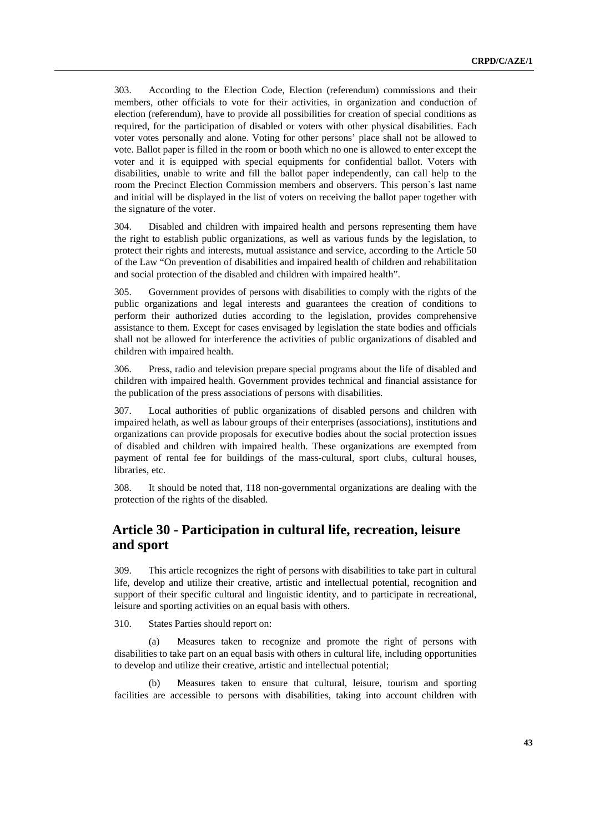<span id="page-42-0"></span>303. According to the Election Code, Election (referendum) commissions and their members, other officials to vote for their activities, in organization and conduction of election (referendum), have to provide all possibilities for creation of special conditions as required, for the participation of disabled or voters with other physical disabilities. Each voter votes personally and alone. Voting for other persons' place shall not be allowed to vote. Ballot paper is filled in the room or booth which no one is allowed to enter except the voter and it is equipped with special equipments for confidential ballot. Voters with disabilities, unable to write and fill the ballot paper independently, can call help to the room the Precinct Election Commission members and observers. This person`s last name and initial will be displayed in the list of voters on receiving the ballot paper together with the signature of the voter.

304. Disabled and children with impaired health and persons representing them have the right to establish public organizations, as well as various funds by the legislation, to protect their rights and interests, mutual assistance and service, according to the Article 50 of the Law "On prevention of disabilities and impaired health of children and rehabilitation and social protection of the disabled and children with impaired health".

305. Government provides of persons with disabilities to comply with the rights of the public organizations and legal interests and guarantees the creation of conditions to perform their authorized duties according to the legislation, provides comprehensive assistance to them. Except for cases envisaged by legislation the state bodies and officials shall not be allowed for interference the activities of public organizations of disabled and children with impaired health.

306. Press, radio and television prepare special programs about the life of disabled and children with impaired health. Government provides technical and financial assistance for the publication of the press associations of persons with disabilities.

307. Local authorities of public organizations of disabled persons and children with impaired helath, as well as labour groups of their enterprises (associations), institutions and organizations can provide proposals for executive bodies about the social protection issues of disabled and children with impaired health. These organizations are exempted from payment of rental fee for buildings of the mass-cultural, sport clubs, cultural houses, libraries, etc.

308. It should be noted that, 118 non-governmental organizations are dealing with the protection of the rights of the disabled.

# **Article 30 - Participation in cultural life, recreation, leisure and sport**

309. This article recognizes the right of persons with disabilities to take part in cultural life, develop and utilize their creative, artistic and intellectual potential, recognition and support of their specific cultural and linguistic identity, and to participate in recreational, leisure and sporting activities on an equal basis with others.

310. States Parties should report on:

(a) Measures taken to recognize and promote the right of persons with disabilities to take part on an equal basis with others in cultural life, including opportunities to develop and utilize their creative, artistic and intellectual potential;

(b) Measures taken to ensure that cultural, leisure, tourism and sporting facilities are accessible to persons with disabilities, taking into account children with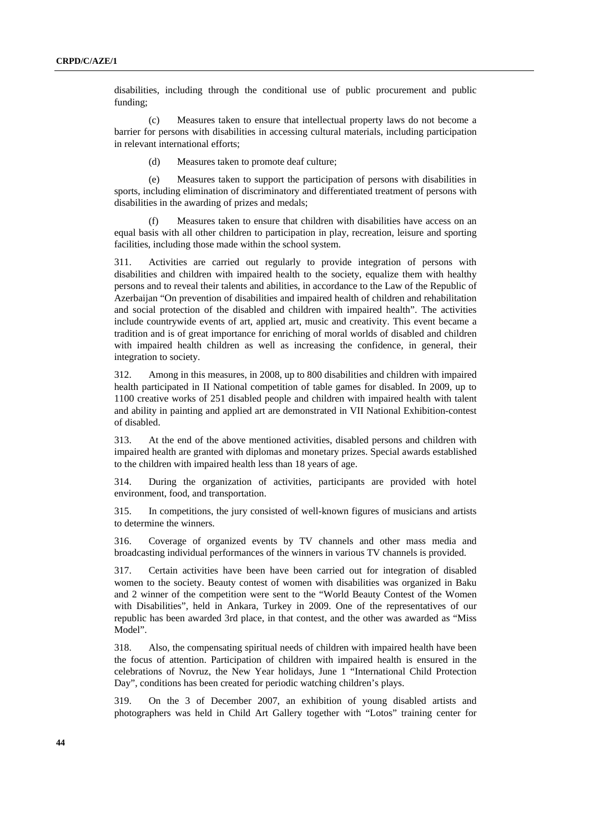disabilities, including through the conditional use of public procurement and public funding;

(c) Measures taken to ensure that intellectual property laws do not become a barrier for persons with disabilities in accessing cultural materials, including participation in relevant international efforts;

(d) Measures taken to promote deaf culture;

(e) Measures taken to support the participation of persons with disabilities in sports, including elimination of discriminatory and differentiated treatment of persons with disabilities in the awarding of prizes and medals;

(f) Measures taken to ensure that children with disabilities have access on an equal basis with all other children to participation in play, recreation, leisure and sporting facilities, including those made within the school system.

311. Activities are carried out regularly to provide integration of persons with disabilities and children with impaired health to the society, equalize them with healthy persons and to reveal their talents and abilities, in accordance to the Law of the Republic of Azerbaijan "On prevention of disabilities and impaired health of children and rehabilitation and social protection of the disabled and children with impaired health". The activities include countrywide events of art, applied art, music and creativity. This event became a tradition and is of great importance for enriching of moral worlds of disabled and children with impaired health children as well as increasing the confidence, in general, their integration to society.

312. Among in this measures, in 2008, up to 800 disabilities and children with impaired health participated in II National competition of table games for disabled. In 2009, up to 1100 creative works of 251 disabled people and children with impaired health with talent and ability in painting and applied art are demonstrated in VII National Exhibition-contest of disabled.

313. At the end of the above mentioned activities, disabled persons and children with impaired health are granted with diplomas and monetary prizes. Special awards established to the children with impaired health less than 18 years of age.

314. During the organization of activities, participants are provided with hotel environment, food, and transportation.

315. In competitions, the jury consisted of well-known figures of musicians and artists to determine the winners.

316. Coverage of organized events by TV channels and other mass media and broadcasting individual performances of the winners in various TV channels is provided.

317. Certain activities have been have been carried out for integration of disabled women to the society. Beauty contest of women with disabilities was organized in Baku and 2 winner of the competition were sent to the "World Beauty Contest of the Women with Disabilities", held in Ankara, Turkey in 2009. One of the representatives of our republic has been awarded 3rd place, in that contest, and the other was awarded as "Miss Model".

318. Also, the compensating spiritual needs of children with impaired health have been the focus of attention. Participation of children with impaired health is ensured in the celebrations of Novruz, the New Year holidays, June 1 "International Child Protection Day", conditions has been created for periodic watching children's plays.

319. On the 3 of December 2007, an exhibition of young disabled artists and photographers was held in Child Art Gallery together with "Lotos" training center for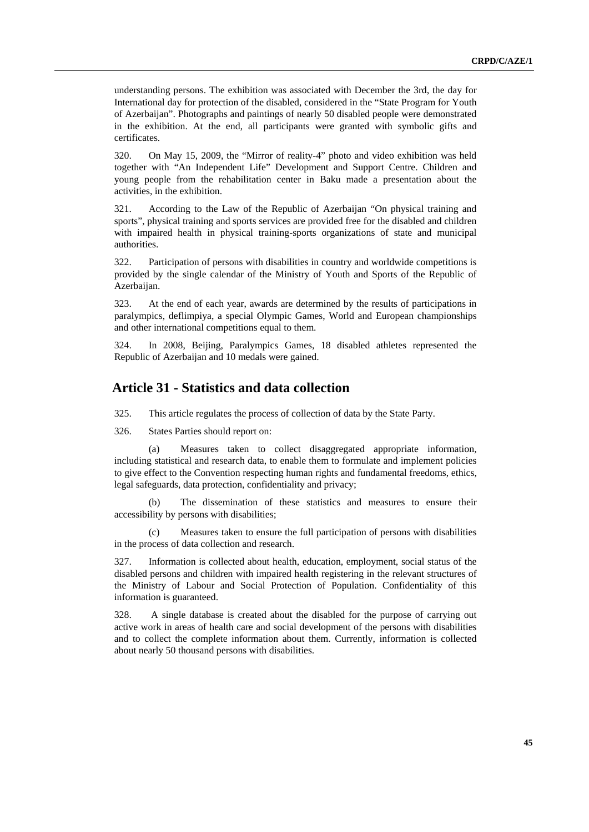<span id="page-44-0"></span>understanding persons. The exhibition was associated with December the 3rd, the day for International day for protection of the disabled, considered in the "State Program for Youth of Azerbaijan". Photographs and paintings of nearly 50 disabled people were demonstrated in the exhibition. At the end, all participants were granted with symbolic gifts and certificates.

320. On May 15, 2009, the "Mirror of reality-4" photo and video exhibition was held together with "An Independent Life" Development and Support Centre. Children and young people from the rehabilitation center in Baku made a presentation about the activities, in the exhibition.

321. According to the Law of the Republic of Azerbaijan "On physical training and sports", physical training and sports services are provided free for the disabled and children with impaired health in physical training-sports organizations of state and municipal authorities.

322. Participation of persons with disabilities in country and worldwide competitions is provided by the single calendar of the Ministry of Youth and Sports of the Republic of Azerbaijan.

323. At the end of each year, awards are determined by the results of participations in paralympics, deflimpiya, a special Olympic Games, World and European championships and other international competitions equal to them.

324. In 2008, Beijing, Paralympics Games, 18 disabled athletes represented the Republic of Azerbaijan and 10 medals were gained.

#### **Article 31 - Statistics and data collection**

325. This article regulates the process of collection of data by the State Party.

326. States Parties should report on:

(a) Measures taken to collect disaggregated appropriate information, including statistical and research data, to enable them to formulate and implement policies to give effect to the Convention respecting human rights and fundamental freedoms, ethics, legal safeguards, data protection, confidentiality and privacy;

(b) The dissemination of these statistics and measures to ensure their accessibility by persons with disabilities;

(c) Measures taken to ensure the full participation of persons with disabilities in the process of data collection and research.

327. Information is collected about health, education, employment, social status of the disabled persons and children with impaired health registering in the relevant structures of the Ministry of Labour and Social Protection of Population. Confidentiality of this information is guaranteed.

328. A single database is created about the disabled for the purpose of carrying out active work in areas of health care and social development of the persons with disabilities and to collect the complete information about them. Currently, information is collected about nearly 50 thousand persons with disabilities.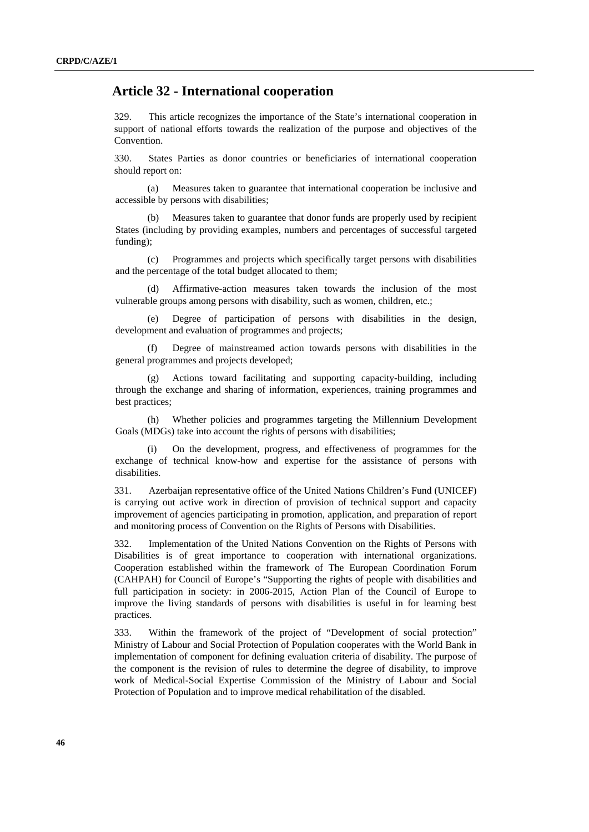#### <span id="page-45-0"></span> **Article 32 - International cooperation**

329. This article recognizes the importance of the State's international cooperation in support of national efforts towards the realization of the purpose and objectives of the Convention.

330. States Parties as donor countries or beneficiaries of international cooperation should report on:

(a) Measures taken to guarantee that international cooperation be inclusive and accessible by persons with disabilities;

(b) Measures taken to guarantee that donor funds are properly used by recipient States (including by providing examples, numbers and percentages of successful targeted funding);

(c) Programmes and projects which specifically target persons with disabilities and the percentage of the total budget allocated to them;

(d) Affirmative-action measures taken towards the inclusion of the most vulnerable groups among persons with disability, such as women, children, etc.;

(e) Degree of participation of persons with disabilities in the design, development and evaluation of programmes and projects;

Degree of mainstreamed action towards persons with disabilities in the general programmes and projects developed;

(g) Actions toward facilitating and supporting capacity-building, including through the exchange and sharing of information, experiences, training programmes and best practices;

(h) Whether policies and programmes targeting the Millennium Development Goals (MDGs) take into account the rights of persons with disabilities;

(i) On the development, progress, and effectiveness of programmes for the exchange of technical know-how and expertise for the assistance of persons with disabilities.

331. Azerbaijan representative office of the United Nations Children's Fund (UNICEF) is carrying out active work in direction of provision of technical support and capacity improvement of agencies participating in promotion, application, and preparation of report and monitoring process of Convention on the Rights of Persons with Disabilities.

332. Implementation of the United Nations Convention on the Rights of Persons with Disabilities is of great importance to cooperation with international organizations. Cooperation established within the framework of The European Coordination Forum (CAHPAH) for Council of Europe's "Supporting the rights of people with disabilities and full participation in society: in 2006-2015, Action Plan of the Council of Europe to improve the living standards of persons with disabilities is useful in for learning best practices.

333. Within the framework of the project of "Development of social protection" Ministry of Labour and Social Protection of Population cooperates with the World Bank in implementation of component for defining evaluation criteria of disability. The purpose of the component is the revision of rules to determine the degree of disability, to improve work of Medical-Social Expertise Commission of the Ministry of Labour and Social Protection of Population and to improve medical rehabilitation of the disabled.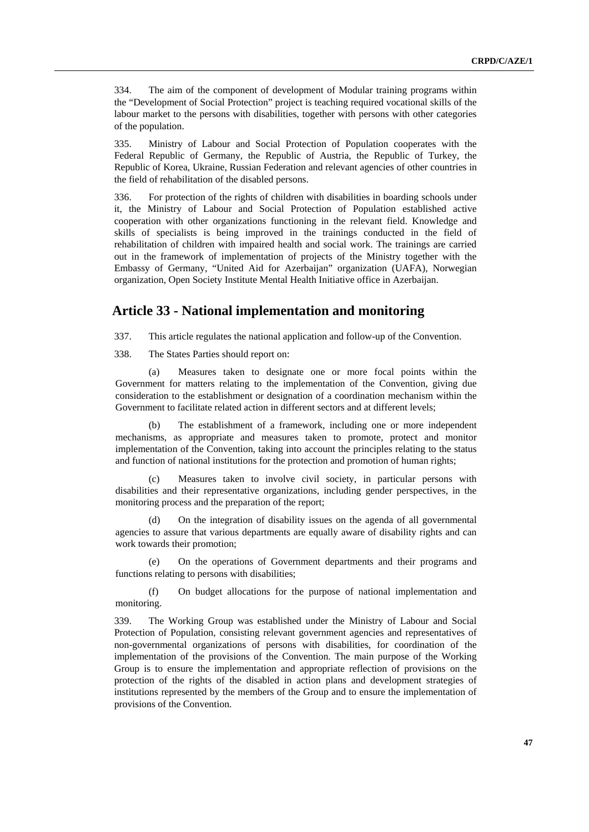<span id="page-46-0"></span>334. The aim of the component of development of Modular training programs within the "Development of Social Protection" project is teaching required vocational skills of the labour market to the persons with disabilities, together with persons with other categories of the population.

335. Ministry of Labour and Social Protection of Population cooperates with the Federal Republic of Germany, the Republic of Austria, the Republic of Turkey, the Republic of Korea, Ukraine, Russian Federation and relevant agencies of other countries in the field of rehabilitation of the disabled persons.

336. For protection of the rights of children with disabilities in boarding schools under it, the Ministry of Labour and Social Protection of Population established active cooperation with other organizations functioning in the relevant field. Knowledge and skills of specialists is being improved in the trainings conducted in the field of rehabilitation of children with impaired health and social work. The trainings are carried out in the framework of implementation of projects of the Ministry together with the Embassy of Germany, "United Aid for Azerbaijan" organization (UAFA), Norwegian organization, Open Society Institute Mental Health Initiative office in Azerbaijan.

## **Article 33 - National implementation and monitoring**

337. This article regulates the national application and follow-up of the Convention.

338. The States Parties should report on:

(a) Measures taken to designate one or more focal points within the Government for matters relating to the implementation of the Convention, giving due consideration to the establishment or designation of a coordination mechanism within the Government to facilitate related action in different sectors and at different levels;

(b) The establishment of a framework, including one or more independent mechanisms, as appropriate and measures taken to promote, protect and monitor implementation of the Convention, taking into account the principles relating to the status and function of national institutions for the protection and promotion of human rights;

(c) Measures taken to involve civil society, in particular persons with disabilities and their representative organizations, including gender perspectives, in the monitoring process and the preparation of the report;

(d) On the integration of disability issues on the agenda of all governmental agencies to assure that various departments are equally aware of disability rights and can work towards their promotion;

(e) On the operations of Government departments and their programs and functions relating to persons with disabilities;

(f) On budget allocations for the purpose of national implementation and monitoring.

339. The Working Group was established under the Ministry of Labour and Social Protection of Population, consisting relevant government agencies and representatives of non-governmental organizations of persons with disabilities, for coordination of the implementation of the provisions of the Convention. The main purpose of the Working Group is to ensure the implementation and appropriate reflection of provisions on the protection of the rights of the disabled in action plans and development strategies of institutions represented by the members of the Group and to ensure the implementation of provisions of the Convention.